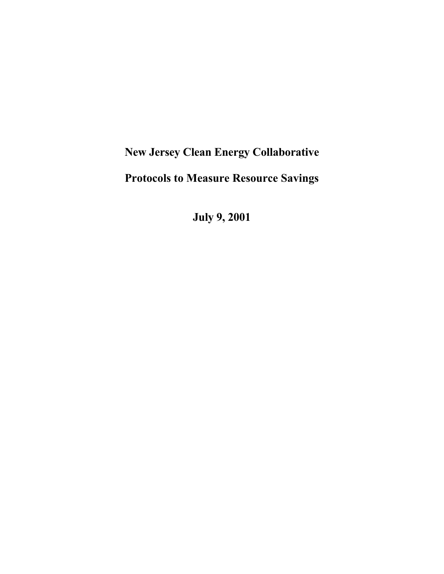# **New Jersey Clean Energy Collaborative Protocols to Measure Resource Savings**

**July 9, 2001**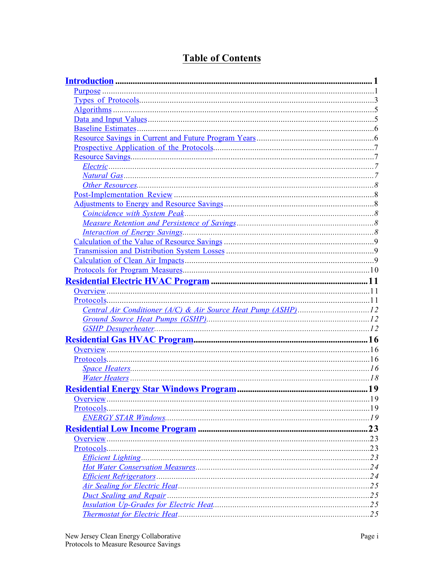# **Table of Contents**

| Duct Sealing and Repair manufactured resources and Repair manufactured resources and Repair manufactured resources |  |
|--------------------------------------------------------------------------------------------------------------------|--|
|                                                                                                                    |  |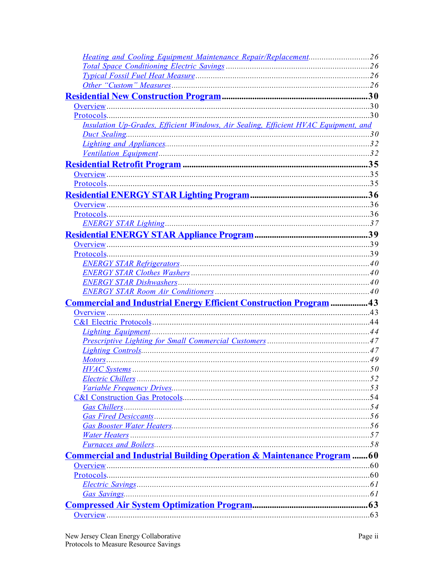| <b>Heating and Cooling Equipment Maintenance Repair/Replacement26</b>                         |  |
|-----------------------------------------------------------------------------------------------|--|
|                                                                                               |  |
|                                                                                               |  |
|                                                                                               |  |
|                                                                                               |  |
|                                                                                               |  |
| $Protocols30$                                                                                 |  |
| Insulation Up-Grades, Efficient Windows, Air Sealing, Efficient HVAC Equipment, and           |  |
|                                                                                               |  |
|                                                                                               |  |
|                                                                                               |  |
|                                                                                               |  |
|                                                                                               |  |
|                                                                                               |  |
|                                                                                               |  |
|                                                                                               |  |
|                                                                                               |  |
|                                                                                               |  |
|                                                                                               |  |
|                                                                                               |  |
| $Protocols 1930 1930 1930 1930 1930 1930 1930 1930 1930 1930 1930 <a href="mailto:193</math>$ |  |
|                                                                                               |  |
|                                                                                               |  |
|                                                                                               |  |
|                                                                                               |  |
| Commercial and Industrial Energy Efficient Construction Program  43                           |  |
|                                                                                               |  |
|                                                                                               |  |
|                                                                                               |  |
|                                                                                               |  |
|                                                                                               |  |
|                                                                                               |  |
|                                                                                               |  |
|                                                                                               |  |
|                                                                                               |  |
|                                                                                               |  |
|                                                                                               |  |
|                                                                                               |  |
|                                                                                               |  |
|                                                                                               |  |
|                                                                                               |  |
| <b>Commercial and Industrial Building Operation &amp; Maintenance Program  60</b>             |  |
|                                                                                               |  |
|                                                                                               |  |
|                                                                                               |  |
|                                                                                               |  |
|                                                                                               |  |
|                                                                                               |  |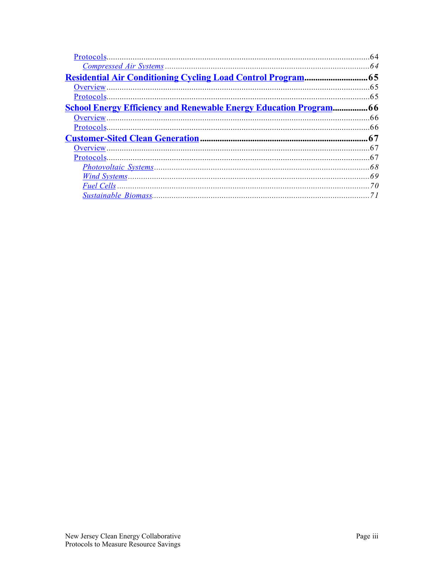|                                                                           | -64 |
|---------------------------------------------------------------------------|-----|
|                                                                           |     |
| <b>Residential Air Conditioning Cycling Load Control Program</b>          | .65 |
|                                                                           | 65  |
|                                                                           |     |
| <b>School Energy Efficiency and Renewable Energy Education Program 66</b> |     |
|                                                                           |     |
|                                                                           |     |
|                                                                           | .67 |
|                                                                           |     |
|                                                                           |     |
|                                                                           | 68  |
|                                                                           |     |
|                                                                           |     |
|                                                                           |     |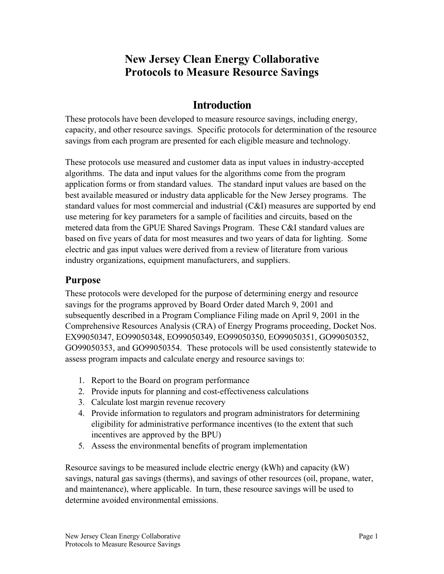# **New Jersey Clean Energy Collaborative Protocols to Measure Resource Savings**

# **Introduction**

<span id="page-4-0"></span>These protocols have been developed to measure resource savings, including energy, capacity, and other resource savings. Specific protocols for determination of the resource savings from each program are presented for each eligible measure and technology.

These protocols use measured and customer data as input values in industry-accepted algorithms. The data and input values for the algorithms come from the program application forms or from standard values. The standard input values are based on the best available measured or industry data applicable for the New Jersey programs. The standard values for most commercial and industrial (C&I) measures are supported by end use metering for key parameters for a sample of facilities and circuits, based on the metered data from the GPUE Shared Savings Program. These C&I standard values are based on five years of data for most measures and two years of data for lighting. Some electric and gas input values were derived from a review of literature from various industry organizations, equipment manufacturers, and suppliers.

### **Purpose**

These protocols were developed for the purpose of determining energy and resource savings for the programs approved by Board Order dated March 9, 2001 and subsequently described in a Program Compliance Filing made on April 9, 2001 in the Comprehensive Resources Analysis (CRA) of Energy Programs proceeding, Docket Nos. EX99050347, EO99050348, EO99050349, EO99050350, EO99050351, GO99050352, GO99050353, and GO99050354. These protocols will be used consistently statewide to assess program impacts and calculate energy and resource savings to:

- 1. Report to the Board on program performance
- 2. Provide inputs for planning and cost-effectiveness calculations
- 3. Calculate lost margin revenue recovery
- 4. Provide information to regulators and program administrators for determining eligibility for administrative performance incentives (to the extent that such incentives are approved by the BPU)
- 5. Assess the environmental benefits of program implementation

Resource savings to be measured include electric energy (kWh) and capacity (kW) savings, natural gas savings (therms), and savings of other resources (oil, propane, water, and maintenance), where applicable. In turn, these resource savings will be used to determine avoided environmental emissions.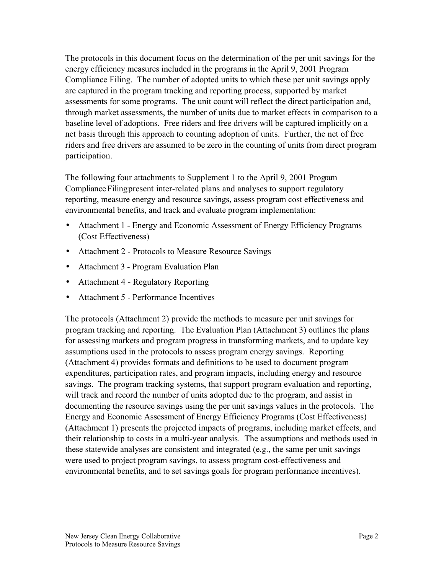The protocols in this document focus on the determination of the per unit savings for the energy efficiency measures included in the programs in the April 9, 2001 Program Compliance Filing. The number of adopted units to which these per unit savings apply are captured in the program tracking and reporting process, supported by market assessments for some programs. The unit count will reflect the direct participation and, through market assessments, the number of units due to market effects in comparison to a baseline level of adoptions. Free riders and free drivers will be captured implicitly on a net basis through this approach to counting adoption of units. Further, the net of free riders and free drivers are assumed to be zero in the counting of units from direct program participation.

The following four attachments to Supplement 1 to the April 9, 2001 Program Compliance Filing present inter-related plans and analyses to support regulatory reporting, measure energy and resource savings, assess program cost effectiveness and environmental benefits, and track and evaluate program implementation:

- Attachment 1 Energy and Economic Assessment of Energy Efficiency Programs (Cost Effectiveness)
- Attachment 2 Protocols to Measure Resource Savings
- Attachment 3 Program Evaluation Plan
- Attachment 4 Regulatory Reporting
- Attachment 5 Performance Incentives

The protocols (Attachment 2) provide the methods to measure per unit savings for program tracking and reporting. The Evaluation Plan (Attachment 3) outlines the plans for assessing markets and program progress in transforming markets, and to update key assumptions used in the protocols to assess program energy savings. Reporting (Attachment 4) provides formats and definitions to be used to document program expenditures, participation rates, and program impacts, including energy and resource savings. The program tracking systems, that support program evaluation and reporting, will track and record the number of units adopted due to the program, and assist in documenting the resource savings using the per unit savings values in the protocols. The Energy and Economic Assessment of Energy Efficiency Programs (Cost Effectiveness) (Attachment 1) presents the projected impacts of programs, including market effects, and their relationship to costs in a multi-year analysis. The assumptions and methods used in these statewide analyses are consistent and integrated (e.g., the same per unit savings were used to project program savings, to assess program cost-effectiveness and environmental benefits, and to set savings goals for program performance incentives).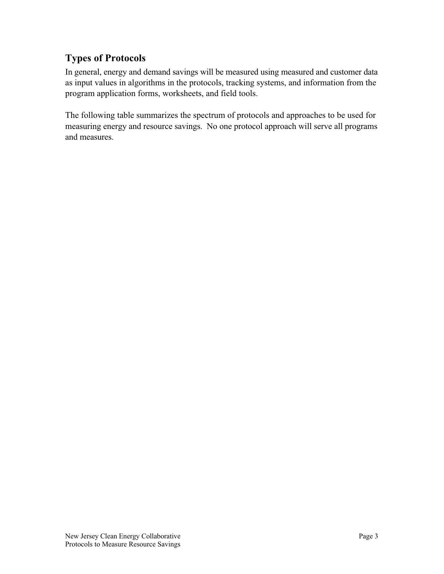# <span id="page-6-0"></span>**Types of Protocols**

In general, energy and demand savings will be measured using measured and customer data as input values in algorithms in the protocols, tracking systems, and information from the program application forms, worksheets, and field tools.

The following table summarizes the spectrum of protocols and approaches to be used for measuring energy and resource savings. No one protocol approach will serve all programs and measures.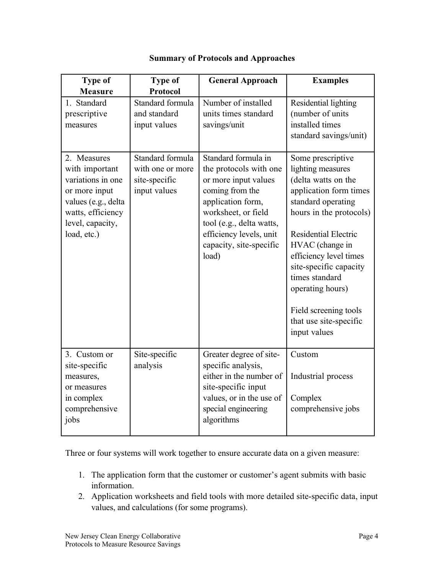| <b>Type of</b><br><b>Measure</b>                                                                                                                   | <b>Type of</b><br><b>Protocol</b>                                     | <b>General Approach</b>                                                                                                                                                                                                         | <b>Examples</b>                                                                                                                                                                                                                                                                                                                                         |
|----------------------------------------------------------------------------------------------------------------------------------------------------|-----------------------------------------------------------------------|---------------------------------------------------------------------------------------------------------------------------------------------------------------------------------------------------------------------------------|---------------------------------------------------------------------------------------------------------------------------------------------------------------------------------------------------------------------------------------------------------------------------------------------------------------------------------------------------------|
| 1. Standard<br>prescriptive<br>measures                                                                                                            | Standard formula<br>and standard<br>input values                      | Number of installed<br>units times standard<br>savings/unit                                                                                                                                                                     | Residential lighting<br>(number of units<br>installed times<br>standard savings/unit)                                                                                                                                                                                                                                                                   |
| 2. Measures<br>with important<br>variations in one<br>or more input<br>values (e.g., delta<br>watts, efficiency<br>level, capacity,<br>load, etc.) | Standard formula<br>with one or more<br>site-specific<br>input values | Standard formula in<br>the protocols with one<br>or more input values<br>coming from the<br>application form,<br>worksheet, or field<br>tool (e.g., delta watts,<br>efficiency levels, unit<br>capacity, site-specific<br>load) | Some prescriptive<br>lighting measures<br>(delta watts on the<br>application form times<br>standard operating<br>hours in the protocols)<br><b>Residential Electric</b><br>HVAC (change in<br>efficiency level times<br>site-specific capacity<br>times standard<br>operating hours)<br>Field screening tools<br>that use site-specific<br>input values |
| 3. Custom or<br>site-specific<br>measures,<br>or measures<br>in complex<br>comprehensive<br>jobs                                                   | Site-specific<br>analysis                                             | Greater degree of site-<br>specific analysis,<br>either in the number of<br>site-specific input<br>values, or in the use of<br>special engineering<br>algorithms                                                                | Custom<br>Industrial process<br>Complex<br>comprehensive jobs                                                                                                                                                                                                                                                                                           |

### **Summary of Protocols and Approaches**

Three or four systems will work together to ensure accurate data on a given measure:

- 1. The application form that the customer or customer's agent submits with basic information.
- 2. Application worksheets and field tools with more detailed site-specific data, input values, and calculations (for some programs).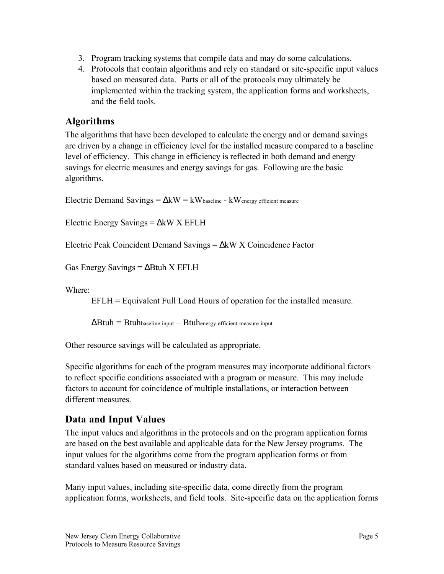- <span id="page-8-0"></span>3. Program tracking systems that compile data and may do some calculations.
- 4. Protocols that contain algorithms and rely on standard or site-specific input values based on measured data. Parts or all of the protocols may ultimately be implemented within the tracking system, the application forms and worksheets, and the field tools.

# **Algorithms**

The algorithms that have been developed to calculate the energy and or demand savings are driven by a change in efficiency level for the installed measure compared to a baseline level of efficiency. This change in efficiency is reflected in both demand and energy savings for electric measures and energy savings for gas. Following are the basic algorithms.

Electric Demand Savings =  $\Delta$ kW = kWbaseline - kWenergy efficient measure

Electric Energy Savings = ∆kW X EFLH

Electric Peak Coincident Demand Savings = ∆kW X Coincidence Factor

Gas Energy Savings =  $\Delta$ Btuh X EFLH

Where:

EFLH = Equivalent Full Load Hours of operation for the installed measure.

 $\Delta$ Btuh = Btuhbaseline input – Btuhenergy efficient measure input

Other resource savings will be calculated as appropriate.

Specific algorithms for each of the program measures may incorporate additional factors to reflect specific conditions associated with a program or measure. This may include factors to account for coincidence of multiple installations, or interaction between different measures.

# **Data and Input Values**

The input values and algorithms in the protocols and on the program application forms are based on the best available and applicable data for the New Jersey programs. The input values for the algorithms come from the program application forms or from standard values based on measured or industry data.

Many input values, including site-specific data, come directly from the program application forms, worksheets, and field tools. Site-specific data on the application forms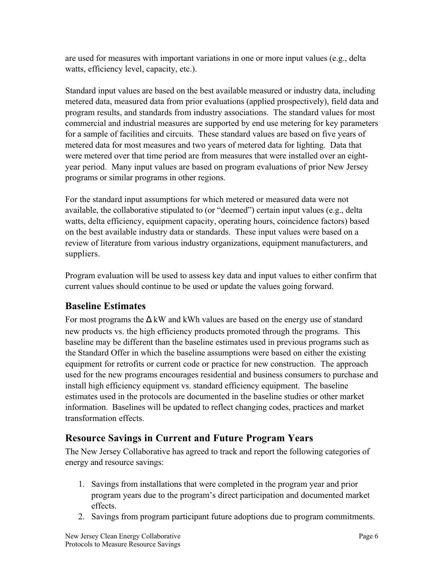<span id="page-9-0"></span>are used for measures with important variations in one or more input values (e.g., delta watts, efficiency level, capacity, etc.).

Standard input values are based on the best available measured or industry data, including metered data, measured data from prior evaluations (applied prospectively), field data and program results, and standards from industry associations. The standard values for most commercial and industrial measures are supported by end use metering for key parameters for a sample of facilities and circuits. These standard values are based on five years of metered data for most measures and two years of metered data for lighting. Data that were metered over that time period are from measures that were installed over an eightyear period. Many input values are based on program evaluations of prior New Jersey programs or similar programs in other regions.

For the standard input assumptions for which metered or measured data were not available, the collaborative stipulated to (or "deemed") certain input values (e.g., delta watts, delta efficiency, equipment capacity, operating hours, coincidence factors) based on the best available industry data or standards. These input values were based on a review of literature from various industry organizations, equipment manufacturers, and suppliers.

Program evaluation will be used to assess key data and input values to either confirm that current values should continue to be used or update the values going forward.

# **Baseline Estimates**

For most programs the  $\Delta$  kW and kWh values are based on the energy use of standard new products vs. the high efficiency products promoted through the programs. This baseline may be different than the baseline estimates used in previous programs such as the Standard Offer in which the baseline assumptions were based on either the existing equipment for retrofits or current code or practice for new construction. The approach used for the new programs encourages residential and business consumers to purchase and install high efficiency equipment vs. standard efficiency equipment. The baseline estimates used in the protocols are documented in the baseline studies or other market information. Baselines will be updated to reflect changing codes, practices and market transformation effects.

# **Resource Savings in Current and Future Program Years**

The New Jersey Collaborative has agreed to track and report the following categories of energy and resource savings:

- 1. Savings from installations that were completed in the program year and prior program years due to the program's direct participation and documented market effects.
- 2. Savings from program participant future adoptions due to program commitments.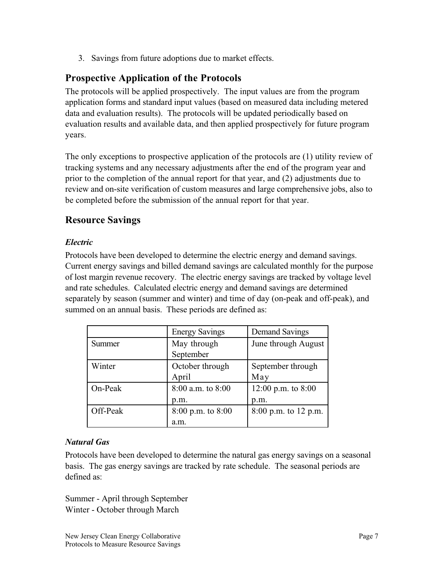<span id="page-10-0"></span>3. Savings from future adoptions due to market effects.

# **Prospective Application of the Protocols**

The protocols will be applied prospectively. The input values are from the program application forms and standard input values (based on measured data including metered data and evaluation results). The protocols will be updated periodically based on evaluation results and available data, and then applied prospectively for future program years.

The only exceptions to prospective application of the protocols are (1) utility review of tracking systems and any necessary adjustments after the end of the program year and prior to the completion of the annual report for that year, and (2) adjustments due to review and on-site verification of custom measures and large comprehensive jobs, also to be completed before the submission of the annual report for that year.

# **Resource Savings**

#### *Electric*

Protocols have been developed to determine the electric energy and demand savings. Current energy savings and billed demand savings are calculated monthly for the purpose of lost margin revenue recovery. The electric energy savings are tracked by voltage level and rate schedules. Calculated electric energy and demand savings are determined separately by season (summer and winter) and time of day (on-peak and off-peak), and summed on an annual basis. These periods are defined as:

|          | <b>Energy Savings</b> | Demand Savings         |
|----------|-----------------------|------------------------|
| Summer   | May through           | June through August    |
|          | September             |                        |
| Winter   | October through       | September through      |
|          | April                 | May                    |
| On-Peak  | 8:00 a.m. to 8:00     | 12:00 p.m. to 8:00     |
|          | p.m.                  | p.m.                   |
| Off-Peak | $8:00$ p.m. to $8:00$ | $8:00$ p.m. to 12 p.m. |
|          | a.m.                  |                        |

### *Natural Gas*

Protocols have been developed to determine the natural gas energy savings on a seasonal basis. The gas energy savings are tracked by rate schedule. The seasonal periods are defined as:

Summer - April through September Winter - October through March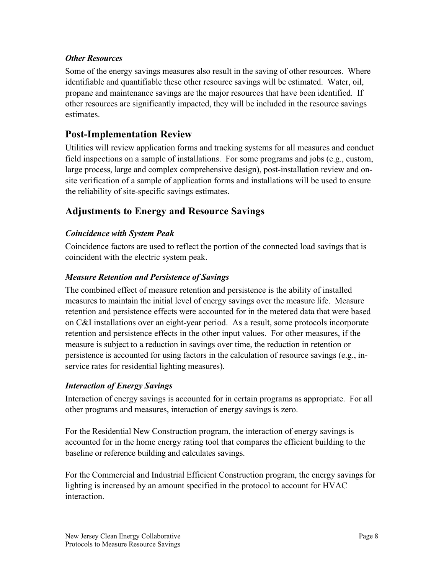#### <span id="page-11-0"></span>*Other Resources*

Some of the energy savings measures also result in the saving of other resources. Where identifiable and quantifiable these other resource savings will be estimated. Water, oil, propane and maintenance savings are the major resources that have been identified. If other resources are significantly impacted, they will be included in the resource savings estimates.

# **Post-Implementation Review**

Utilities will review application forms and tracking systems for all measures and conduct field inspections on a sample of installations. For some programs and jobs (e.g., custom, large process, large and complex comprehensive design), post-installation review and onsite verification of a sample of application forms and installations will be used to ensure the reliability of site-specific savings estimates.

# **Adjustments to Energy and Resource Savings**

#### *Coincidence with System Peak*

Coincidence factors are used to reflect the portion of the connected load savings that is coincident with the electric system peak.

#### *Measure Retention and Persistence of Savings*

The combined effect of measure retention and persistence is the ability of installed measures to maintain the initial level of energy savings over the measure life. Measure retention and persistence effects were accounted for in the metered data that were based on C&I installations over an eight-year period. As a result, some protocols incorporate retention and persistence effects in the other input values. For other measures, if the measure is subject to a reduction in savings over time, the reduction in retention or persistence is accounted for using factors in the calculation of resource savings (e.g., inservice rates for residential lighting measures).

### *Interaction of Energy Savings*

Interaction of energy savings is accounted for in certain programs as appropriate. For all other programs and measures, interaction of energy savings is zero.

For the Residential New Construction program, the interaction of energy savings is accounted for in the home energy rating tool that compares the efficient building to the baseline or reference building and calculates savings.

For the Commercial and Industrial Efficient Construction program, the energy savings for lighting is increased by an amount specified in the protocol to account for HVAC interaction.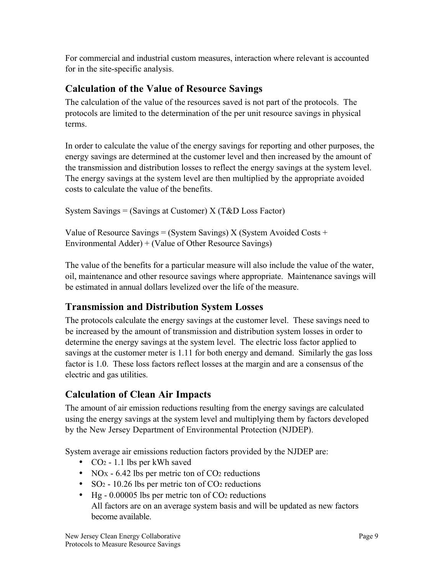<span id="page-12-0"></span>For commercial and industrial custom measures, interaction where relevant is accounted for in the site-specific analysis.

# **Calculation of the Value of Resource Savings**

The calculation of the value of the resources saved is not part of the protocols. The protocols are limited to the determination of the per unit resource savings in physical terms.

In order to calculate the value of the energy savings for reporting and other purposes, the energy savings are determined at the customer level and then increased by the amount of the transmission and distribution losses to reflect the energy savings at the system level. The energy savings at the system level are then multiplied by the appropriate avoided costs to calculate the value of the benefits.

System Savings = (Savings at Customer)  $X(T&D)$  Loss Factor)

Value of Resource Savings = (System Savings) X (System Avoided Costs + Environmental Adder) + (Value of Other Resource Savings)

The value of the benefits for a particular measure will also include the value of the water, oil, maintenance and other resource savings where appropriate. Maintenance savings will be estimated in annual dollars levelized over the life of the measure.

# **Transmission and Distribution System Losses**

The protocols calculate the energy savings at the customer level. These savings need to be increased by the amount of transmission and distribution system losses in order to determine the energy savings at the system level. The electric loss factor applied to savings at the customer meter is 1.11 for both energy and demand. Similarly the gas loss factor is 1.0. These loss factors reflect losses at the margin and are a consensus of the electric and gas utilities.

# **Calculation of Clean Air Impacts**

The amount of air emission reductions resulting from the energy savings are calculated using the energy savings at the system level and multiplying them by factors developed by the New Jersey Department of Environmental Protection (NJDEP).

System average air emissions reduction factors provided by the NJDEP are:

- $CO<sub>2</sub> 1.1$  lbs per kWh saved
- NOx 6.42 lbs per metric ton of  $CO<sub>2</sub>$  reductions
- SO<sub>2</sub> 10.26 lbs per metric ton of CO<sub>2</sub> reductions
- Hg 0.00005 lbs per metric ton of CO<sub>2</sub> reductions All factors are on an average system basis and will be updated as new factors become available.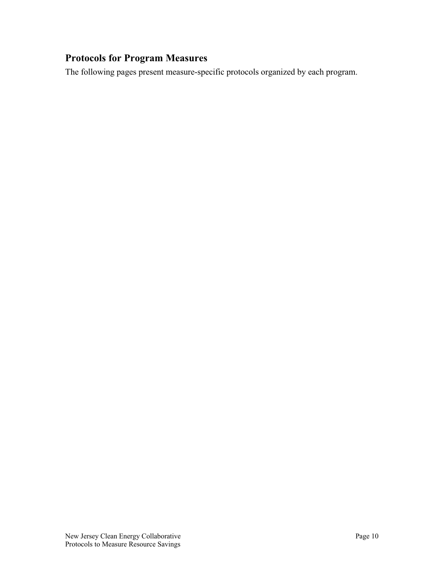# <span id="page-13-0"></span>**Protocols for Program Measures**

The following pages present measure-specific protocols organized by each program.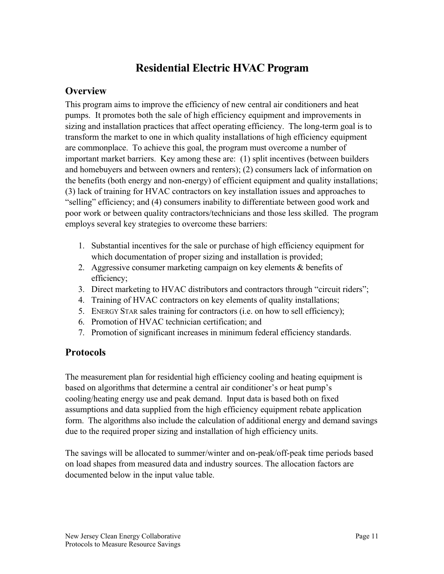# **Residential Electric HVAC Program**

# <span id="page-14-0"></span>**Overview**

This program aims to improve the efficiency of new central air conditioners and heat pumps. It promotes both the sale of high efficiency equipment and improvements in sizing and installation practices that affect operating efficiency. The long-term goal is to transform the market to one in which quality installations of high efficiency equipment are commonplace. To achieve this goal, the program must overcome a number of important market barriers. Key among these are: (1) split incentives (between builders and homebuyers and between owners and renters); (2) consumers lack of information on the benefits (both energy and non-energy) of efficient equipment and quality installations; (3) lack of training for HVAC contractors on key installation issues and approaches to "selling" efficiency; and (4) consumers inability to differentiate between good work and poor work or between quality contractors/technicians and those less skilled. The program employs several key strategies to overcome these barriers:

- 1. Substantial incentives for the sale or purchase of high efficiency equipment for which documentation of proper sizing and installation is provided;
- 2. Aggressive consumer marketing campaign on key elements & benefits of efficiency;
- 3. Direct marketing to HVAC distributors and contractors through "circuit riders";
- 4. Training of HVAC contractors on key elements of quality installations;
- 5. ENERGY STAR sales training for contractors (i.e. on how to sell efficiency);
- 6. Promotion of HVAC technician certification; and
- 7. Promotion of significant increases in minimum federal efficiency standards.

# **Protocols**

The measurement plan for residential high efficiency cooling and heating equipment is based on algorithms that determine a central air conditioner's or heat pump's cooling/heating energy use and peak demand. Input data is based both on fixed assumptions and data supplied from the high efficiency equipment rebate application form. The algorithms also include the calculation of additional energy and demand savings due to the required proper sizing and installation of high efficiency units.

The savings will be allocated to summer/winter and on-peak/off-peak time periods based on load shapes from measured data and industry sources. The allocation factors are documented below in the input value table.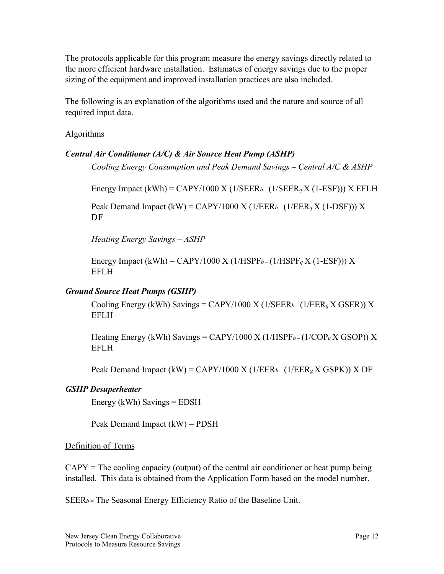<span id="page-15-0"></span>The protocols applicable for this program measure the energy savings directly related to the more efficient hardware installation. Estimates of energy savings due to the proper sizing of the equipment and improved installation practices are also included.

The following is an explanation of the algorithms used and the nature and source of all required input data.

#### Algorithms

#### *Central Air Conditioner (A/C) & Air Source Heat Pump (ASHP)*

*Cooling Energy Consumption and Peak Demand Savings – Central A/C & ASHP*

Energy Impact (kWh) = CAPY/1000 X (1/SEER*b –* (1/SEER*q* X (1-ESF))) X EFLH

Peak Demand Impact (kW) = CAPY/1000 X (1/EER*b –* (1/EER*q* X (1-DSF))) X DF

*Heating Energy Savings – ASHP*

Energy Impact (kWh) = CAPY/1000 X (1/HSPF*b –* (1/HSPF*q* X (1-ESF))) X EFLH

#### *Ground Source Heat Pumps (GSHP)*

Cooling Energy (kWh) Savings = CAPY/1000 X (1/SEER*b –* (1/EER*g* X GSER)) X EFLH

Heating Energy (kWh) Savings = CAPY/1000 X (1/HSPF*b –* (1/COP*g* X GSOP)) X EFLH

Peak Demand Impact (kW) = CAPY/1000 X (1/EER*b –* (1/EER*g* X GSPK)) X DF

#### *GSHP Desuperheater*

Energy (kWh) Savings = EDSH

Peak Demand Impact  $(kW) = PDSH$ 

#### Definition of Terms

 $CAPY = The cooling capacity (output) of the central air conditioner or heat pump being$ installed. This data is obtained from the Application Form based on the model number.

SEER*b =* The Seasonal Energy Efficiency Ratio of the Baseline Unit.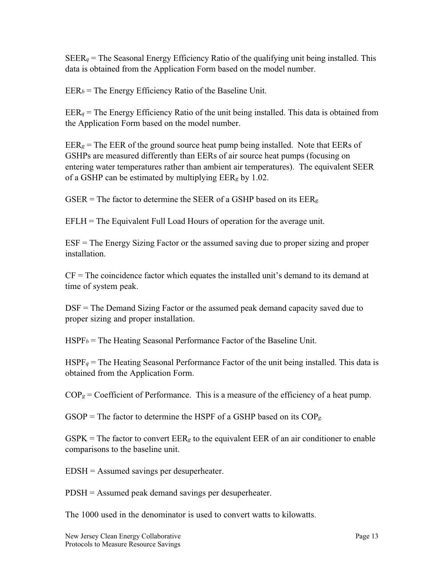$SEER_q$  = The Seasonal Energy Efficiency Ratio of the qualifying unit being installed. This data is obtained from the Application Form based on the model number.

 $EER_b$  = The Energy Efficiency Ratio of the Baseline Unit.

 $EER_q$  = The Energy Efficiency Ratio of the unit being installed. This data is obtained from the Application Form based on the model number.

 $EER_g$  = The EER of the ground source heat pump being installed. Note that EERs of GSHPs are measured differently than EERs of air source heat pumps (focusing on entering water temperatures rather than ambient air temperatures). The equivalent SEER of a GSHP can be estimated by multiplying EER*g* by 1.02.

GSER = The factor to determine the SEER of a GSHP based on its EER*g.*

EFLH = The Equivalent Full Load Hours of operation for the average unit.

ESF = The Energy Sizing Factor or the assumed saving due to proper sizing and proper installation.

 $CF = The coincidence factor which equates the installed unit's demand to its demand at$ time of system peak.

DSF = The Demand Sizing Factor or the assumed peak demand capacity saved due to proper sizing and proper installation.

HSPF*b* = The Heating Seasonal Performance Factor of the Baseline Unit.

 $HSPF_q$  = The Heating Seasonal Performance Factor of the unit being installed. This data is obtained from the Application Form.

 $COP_g = Coefficient of Performance.$  This is a measure of the efficiency of a heat pump.

GSOP = The factor to determine the HSPF of a GSHP based on its COP*g.*

 $GSPK = The factor to convert EER<sub>g</sub> to the equivalent EER of an air conditioner to enable$ comparisons to the baseline unit.

EDSH = Assumed savings per desuperheater.

PDSH = Assumed peak demand savings per desuperheater.

The 1000 used in the denominator is used to convert watts to kilowatts.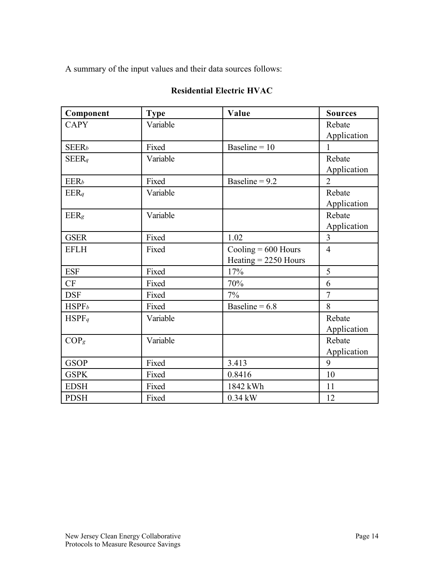A summary of the input values and their data sources follows:

### Component Type Value Sources CAPY Variable Rebate Application  $SEER_b$  Fixed Baseline = 10 1 SEER<sub>q</sub> Variable Rebate Application  $EER_b$  Fixed Baseline = 9.2 2 EER<sub>q</sub> Rebate Variable Report Report Report Report Report Report Report Report Report Report Report Report Report Report Report Report Report Report Report Report Report Report Report Report Report Report Report Report Rep Application EER<sub>g</sub> Nariable Rebate Application GSER Fixed 1.02 3 EFLH Fixed Cooling = 600 Hours Heating = 2250 Hours 4  $ESF$  Fixed  $17\%$  5  $CF$  Fixed  $70\%$  6 DSF Fixed 7% 7  $HSPF<sub>b</sub>$  Fixed Baseline = 6.8 8 HSPF<sub>q</sub> Rebate Variable Rebate Application COP<sub>g</sub> Nariable Rebate Application GSOP | Fixed | 3.413 | 9 GSPK | Fixed | 0.8416 | 10 EDSH Fixed 1842 kWh 11 PDSH | Fixed | 0.34 kW | 12

#### **Residential Electric HVAC**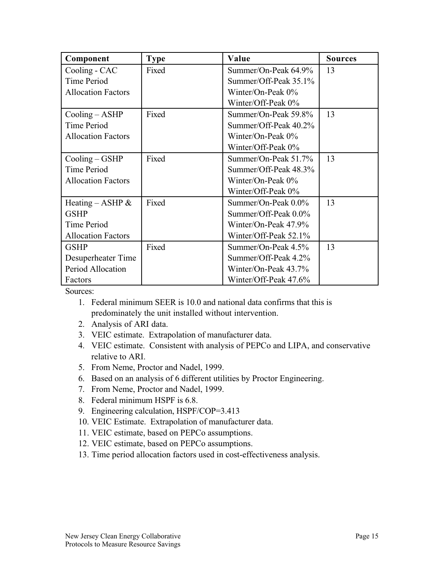| Component                      | <b>Type</b> | Value                 | <b>Sources</b> |
|--------------------------------|-------------|-----------------------|----------------|
| Cooling - CAC                  | Fixed       | Summer/On-Peak 64.9%  | 13             |
| Time Period                    |             | Summer/Off-Peak 35.1% |                |
| <b>Allocation Factors</b>      |             | Winter/On-Peak $0\%$  |                |
|                                |             | Winter/Off-Peak 0%    |                |
| $\text{Cooling} - \text{ASHP}$ | Fixed       | Summer/On-Peak 59.8%  | 13             |
| Time Period                    |             | Summer/Off-Peak 40.2% |                |
| <b>Allocation Factors</b>      |             | Winter/On-Peak 0%     |                |
|                                |             | Winter/Off-Peak 0%    |                |
| $\text{Cooling} - \text{GSHP}$ | Fixed       | Summer/On-Peak 51.7%  | 13             |
| Time Period                    |             | Summer/Off-Peak 48.3% |                |
| <b>Allocation Factors</b>      |             | Winter/On-Peak $0\%$  |                |
|                                |             | Winter/Off-Peak 0%    |                |
| Heating – ASHP $\&$            | Fixed       | Summer/On-Peak 0.0%   | 13             |
| <b>GSHP</b>                    |             | Summer/Off-Peak 0.0%  |                |
| Time Period                    |             | Winter/On-Peak 47.9%  |                |
| <b>Allocation Factors</b>      |             | Winter/Off-Peak 52.1% |                |
| <b>GSHP</b>                    | Fixed       | Summer/On-Peak 4.5%   | 13             |
| Desuperheater Time             |             | Summer/Off-Peak 4.2%  |                |
| Period Allocation              |             | Winter/On-Peak 43.7%  |                |
| Factors                        |             | Winter/Off-Peak 47.6% |                |

Sources:

- 1. Federal minimum SEER is 10.0 and national data confirms that this is predominately the unit installed without intervention.
- 2. Analysis of ARI data.
- 3. VEIC estimate. Extrapolation of manufacturer data.
- 4. VEIC estimate. Consistent with analysis of PEPCo and LIPA, and conservative relative to ARI.
- 5. From Neme, Proctor and Nadel, 1999.
- 6. Based on an analysis of 6 different utilities by Proctor Engineering.
- 7. From Neme, Proctor and Nadel, 1999.
- 8. Federal minimum HSPF is 6.8.
- 9. Engineering calculation, HSPF/COP=3.413
- 10. VEIC Estimate. Extrapolation of manufacturer data.
- 11. VEIC estimate, based on PEPCo assumptions.
- 12. VEIC estimate, based on PEPCo assumptions.
- 13. Time period allocation factors used in cost-effectiveness analysis.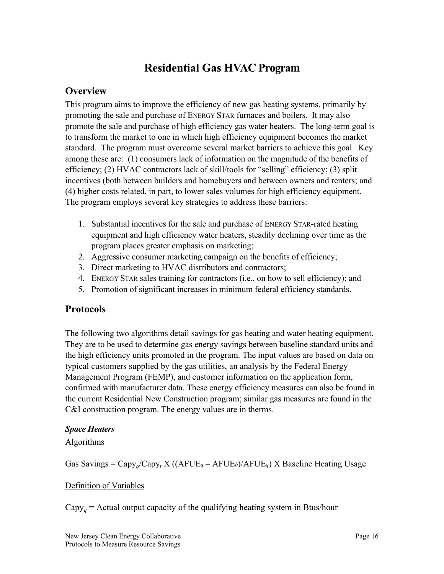# **Residential Gas HVAC Program**

# <span id="page-19-0"></span>**Overview**

This program aims to improve the efficiency of new gas heating systems, primarily by promoting the sale and purchase of ENERGY STAR furnaces and boilers. It may also promote the sale and purchase of high efficiency gas water heaters. The long-term goal is to transform the market to one in which high efficiency equipment becomes the market standard. The program must overcome several market barriers to achieve this goal. Key among these are: (1) consumers lack of information on the magnitude of the benefits of efficiency; (2) HVAC contractors lack of skill/tools for "selling" efficiency; (3) split incentives (both between builders and homebuyers and between owners and renters; and (4) higher costs related, in part, to lower sales volumes for high efficiency equipment. The program employs several key strategies to address these barriers:

- 1. Substantial incentives for the sale and purchase of ENERGY STAR-rated heating equipment and high efficiency water heaters, steadily declining over time as the program places greater emphasis on marketing;
- 2. Aggressive consumer marketing campaign on the benefits of efficiency;
- 3. Direct marketing to HVAC distributors and contractors;
- 4. ENERGY STAR sales training for contractors (i.e., on how to sell efficiency); and
- 5. Promotion of significant increases in minimum federal efficiency standards.

# **Protocols**

The following two algorithms detail savings for gas heating and water heating equipment. They are to be used to determine gas energy savings between baseline standard units and the high efficiency units promoted in the program. The input values are based on data on typical customers supplied by the gas utilities, an analysis by the Federal Energy Management Program (FEMP), and customer information on the application form, confirmed with manufacturer data. These energy efficiency measures can also be found in the current Residential New Construction program; similar gas measures are found in the C&I construction program. The energy values are in therms.

#### *Space Heaters*

### **Algorithms**

Gas Savings =  $C$ apy<sub>q</sub>/ $C$ apy<sub>t</sub> X ((AFUE<sub>q</sub> – AFUE<sub>b</sub>)/AFUE<sub>q</sub>) X Baseline Heating Usage

### Definition of Variables

 $Capy<sub>a</sub>$  = Actual output capacity of the qualifying heating system in Btus/hour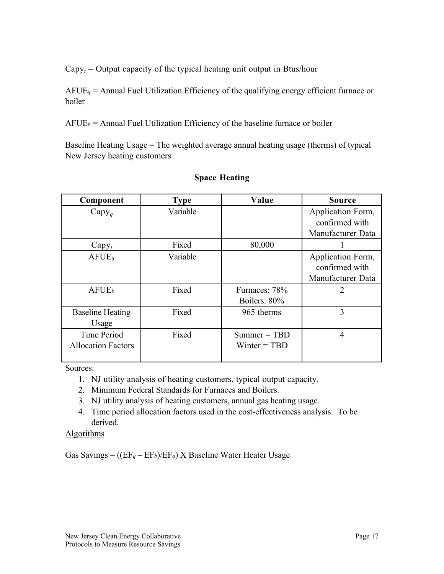$Capy_t = Output$  capacity of the typical heating unit output in Btus/hour

AFUE*q* = Annual Fuel Utilization Efficiency of the qualifying energy efficient furnace or boiler

 $A FUE<sub>b</sub>$  = Annual Fuel Utilization Efficiency of the baseline furnace or boiler

Baseline Heating Usage = The weighted average annual heating usage (therms) of typical New Jersey heating customers

| Component                 | <b>Type</b> | Value          | <b>Source</b>     |
|---------------------------|-------------|----------------|-------------------|
| $Capy_q$                  | Variable    |                | Application Form, |
|                           |             |                | confirmed with    |
|                           |             |                | Manufacturer Data |
| $Capy_t$                  | Fixed       | 80,000         |                   |
| A FUE                     | Variable    |                | Application Form, |
|                           |             |                | confirmed with    |
|                           |             |                | Manufacturer Data |
| A FUE <sub>b</sub>        | Fixed       | Furnaces: 78%  | $\overline{2}$    |
|                           |             | Boilers: 80%   |                   |
| <b>Baseline Heating</b>   | Fixed       | 965 therms     | 3                 |
| Usage                     |             |                |                   |
| Time Period               | Fixed       | $Summer = TBD$ | 4                 |
| <b>Allocation Factors</b> |             | $Winter = TBD$ |                   |
|                           |             |                |                   |

#### **Space Heating**

Sources:

- 1. NJ utility analysis of heating customers, typical output capacity.
- 2. Minimum Federal Standards for Furnaces and Boilers.
- 3. NJ utility analysis of heating customers, annual gas heating usage.
- 4. Time period allocation factors used in the cost-effectiveness analysis. To be derived.

### Algorithms

Gas Savings = ((EF*q* – EF*b*)/EF*q*) X Baseline Water Heater Usage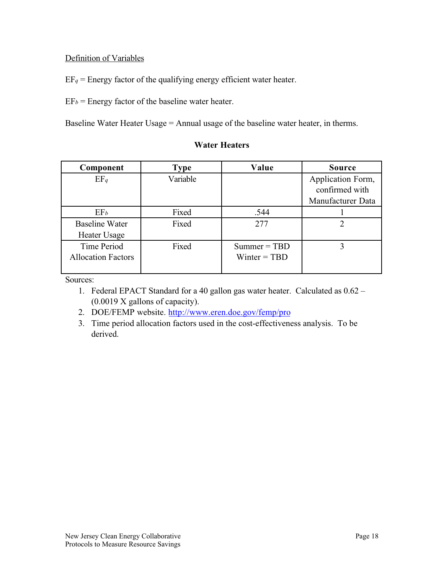#### <span id="page-21-0"></span>Definition of Variables

 $EF_q$  = Energy factor of the qualifying energy efficient water heater.

 $EF_b$  = Energy factor of the baseline water heater.

Baseline Water Heater Usage = Annual usage of the baseline water heater, in therms.

#### **Component | Type | Value | Source** EF<sub>q</sub> Variable Application Form, confirmed with Manufacturer Data  $EF_b$  Fixed  $.544$  1 Baseline Water Heater Usage Fixed 277 2 Time Period Allocation Factors Fixed Summer = TBD Winter = TBD 3

Sources:

- 1. Federal EPACT Standard for a 40 gallon gas water heater. Calculated as 0.62 (0.0019 X gallons of capacity).
- 2. DOE/FEMP website. http://www.eren.doe.gov/femp/pro
- 3. Time period allocation factors used in the cost-effectiveness analysis. To be derived.

# **Water Heaters**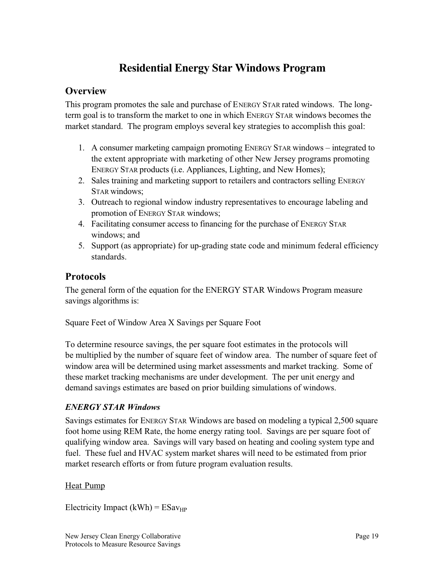# **Residential Energy Star Windows Program**

# <span id="page-22-0"></span>**Overview**

This program promotes the sale and purchase of ENERGY STAR rated windows. The longterm goal is to transform the market to one in which ENERGY STAR windows becomes the market standard. The program employs several key strategies to accomplish this goal:

- 1. A consumer marketing campaign promoting ENERGY STAR windows integrated to the extent appropriate with marketing of other New Jersey programs promoting ENERGY STAR products (i.e. Appliances, Lighting, and New Homes);
- 2. Sales training and marketing support to retailers and contractors selling ENERGY STAR windows;
- 3. Outreach to regional window industry representatives to encourage labeling and promotion of ENERGY STAR windows;
- 4. Facilitating consumer access to financing for the purchase of ENERGY STAR windows; and
- 5. Support (as appropriate) for up-grading state code and minimum federal efficiency standards.

# **Protocols**

The general form of the equation for the ENERGY STAR Windows Program measure savings algorithms is:

Square Feet of Window Area X Savings per Square Foot

To determine resource savings, the per square foot estimates in the protocols will be multiplied by the number of square feet of window area. The number of square feet of window area will be determined using market assessments and market tracking. Some of these market tracking mechanisms are under development. The per unit energy and demand savings estimates are based on prior building simulations of windows.

# *ENERGY STAR Windows*

Savings estimates for ENERGY STAR Windows are based on modeling a typical 2,500 square foot home using REM Rate, the home energy rating tool. Savings are per square foot of qualifying window area. Savings will vary based on heating and cooling system type and fuel. These fuel and HVAC system market shares will need to be estimated from prior market research efforts or from future program evaluation results.

### Heat Pump

Electricity Impact (kWh) =  $ESav_{HP}$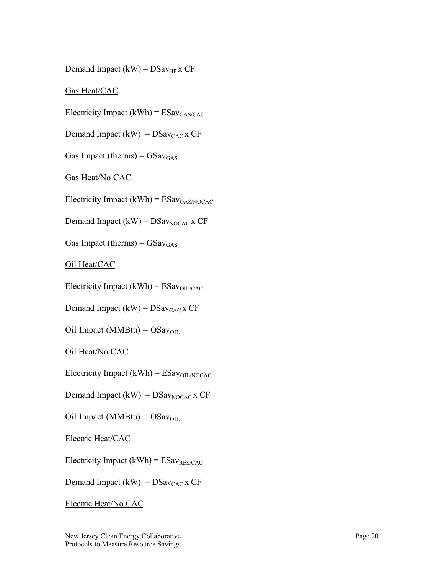Demand Impact  $(kW) = DSav_{HP}$  x CF

Gas Heat/CAC

Electricity Impact  $(kWh) = ESav_{GAS/CAC}$ 

Demand Impact (kW) =  $DSav_{CAC}$  x CF

Gas Impact (therms) =  $GSav_{GAS}$ 

Gas Heat/No CAC

Electricity Impact (kWh) =  $ESav_{GAS/NOCAC}$ 

Demand Impact  $(kW) = DSav_{NOCAC}$  x CF

Gas Impact (therms) =  $GSav_{GAS}$ 

Oil Heat/CAC

Electricity Impact (kWh) =  $ESav_{OL/CAC}$ 

Demand Impact (kW) =  $DSav_{CAC}$  x CF

Oil Impact ( $MMBtu$ ) =  $OSav<sub>OL</sub>$ 

Oil Heat/No CAC

Electricity Impact (kWh) =  $ESav<sub>OL/NOCAC</sub>$ 

Demand Impact (kW) =  $DSav<sub>NOCAC</sub>$  x CF

Oil Impact ( $MMBtu$ ) =  $OSav<sub>OL</sub>$ 

Electric Heat/CAC

Electricity Impact (kWh) =  $ESav_{RES/CAC}$ 

Demand Impact (kW) =  $DSav_{CAC}$  x CF

Electric Heat/No CAC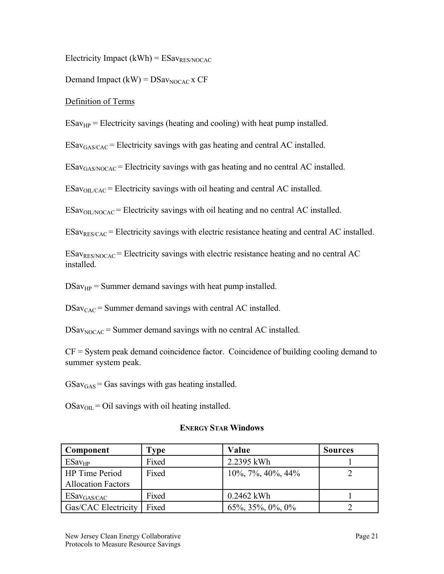Electricity Impact  $(kWh) = ESav_{RES/NOCAC}$ 

Demand Impact  $(kW) = DSav_{NOCAC}x CF$ 

Definition of Terms

 $ESav<sub>HP</sub>$  = Electricity savings (heating and cooling) with heat pump installed.

 $ESav_{GAS/CAC}$  = Electricity savings with gas heating and central AC installed.

 $ESav<sub>GAS/NOCAC</sub>$  = Electricity savings with gas heating and no central AC installed.

 $ESav<sub>OL/CAC</sub>$  = Electricity savings with oil heating and central AC installed.

 $ESav<sub>OL/NOCAC</sub> = Electricity savings with oil heating and no central AC installed.$ 

 $ESav_{RES/CAC}$  = Electricity savings with electric resistance heating and central AC installed.

 $ESav_{RES/NOCAC}$  = Electricity savings with electric resistance heating and no central AC installed.

 $DSav_{HP}$  = Summer demand savings with heat pump installed.

 $DSav<sub>CAC</sub>$  = Summer demand savings with central AC installed.

 $DSav<sub>NOCAC</sub> = Summer demand savings with no central AC installed.$ 

CF = System peak demand coincidence factor. Coincidence of building cooling demand to summer system peak.

 $GSav_{GAS}$  = Gas savings with gas heating installed.

 $OSav<sub>OIL</sub> = Oil savings with oil heating installed.$ 

#### **ENERGY STAR Windows**

| Component                  | Type  | Value                   | <b>Sources</b> |
|----------------------------|-------|-------------------------|----------------|
| ESav <sub>HP</sub>         | Fixed | 2.2395 kWh              |                |
| <b>HP</b> Time Period      | Fixed | $10\%, 7\%, 40\%, 44\%$ |                |
| <b>Allocation Factors</b>  |       |                         |                |
| $ESav_{GAS/CAC}$           | Fixed | $0.2462$ kWh            |                |
| <b>Gas/CAC Electricity</b> | Fixed | $65\%, 35\%, 0\%, 0\%$  |                |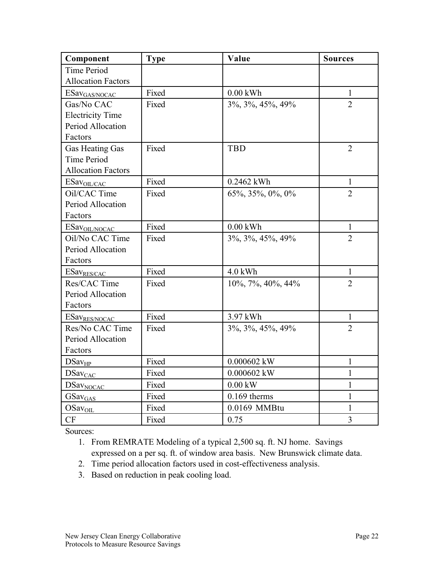| Component                 | <b>Type</b> | Value             | <b>Sources</b> |
|---------------------------|-------------|-------------------|----------------|
| <b>Time Period</b>        |             |                   |                |
| <b>Allocation Factors</b> |             |                   |                |
| ESav <sub>GAS/NOCAC</sub> | Fixed       | $0.00$ kWh        | $\mathbf{1}$   |
| Gas/No CAC                | Fixed       | 3%, 3%, 45%, 49%  | $\overline{2}$ |
| <b>Electricity Time</b>   |             |                   |                |
| Period Allocation         |             |                   |                |
| Factors                   |             |                   |                |
| Gas Heating Gas           | Fixed       | <b>TBD</b>        | $\overline{2}$ |
| <b>Time Period</b>        |             |                   |                |
| <b>Allocation Factors</b> |             |                   |                |
| ESav <sub>OL/CAC</sub>    | Fixed       | 0.2462 kWh        | $\mathbf{1}$   |
| Oil/CAC Time              | Fixed       | 65%, 35%, 0%, 0%  | $\overline{2}$ |
| Period Allocation         |             |                   |                |
| Factors                   |             |                   |                |
| ESav <sub>OIL/NOCAC</sub> | Fixed       | $0.00$ kWh        | $\mathbf{1}$   |
| Oil/No CAC Time           | Fixed       | 3%, 3%, 45%, 49%  | $\overline{2}$ |
| Period Allocation         |             |                   |                |
| Factors                   |             |                   |                |
| ESav <sub>RES/CAC</sub>   | Fixed       | $4.0$ kWh         | 1              |
| Res/CAC Time              | Fixed       | 10%, 7%, 40%, 44% | $\overline{2}$ |
| Period Allocation         |             |                   |                |
| Factors                   |             |                   |                |
| ESav <sub>RES/NOCAC</sub> | Fixed       | 3.97 kWh          | 1              |
| Res/No CAC Time           | Fixed       | 3%, 3%, 45%, 49%  | $\overline{2}$ |
| Period Allocation         |             |                   |                |
| Factors                   |             |                   |                |
| DSav <sub>HP</sub>        | Fixed       | 0.000602 kW       | $\mathbf{1}$   |
| <b>DSavCAC</b>            | Fixed       | 0.000602 kW       | 1              |
| DSa <sub>VNOCAC</sub>     | Fixed       | $0.00$ kW         | $\mathbf{1}$   |
| GSav <sub>GAS</sub>       | Fixed       | $0.169$ therms    | $\mathbf{1}$   |
| OSav <sub>OIL</sub>       | Fixed       | 0.0169 MMBtu      | 1              |
| CF                        | Fixed       | 0.75              | $\overline{3}$ |

Sources:

1. From REMRATE Modeling of a typical 2,500 sq. ft. NJ home. Savings expressed on a per sq. ft. of window area basis. New Brunswick climate data.

- 2. Time period allocation factors used in cost-effectiveness analysis.
- 3. Based on reduction in peak cooling load.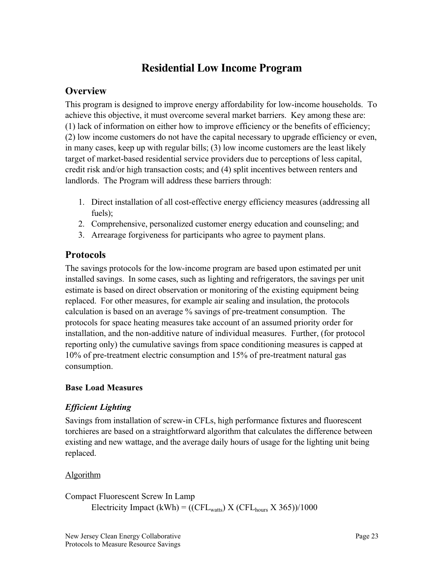# **Residential Low Income Program**

# <span id="page-26-0"></span>**Overview**

This program is designed to improve energy affordability for low-income households. To achieve this objective, it must overcome several market barriers. Key among these are: (1) lack of information on either how to improve efficiency or the benefits of efficiency; (2) low income customers do not have the capital necessary to upgrade efficiency or even, in many cases, keep up with regular bills; (3) low income customers are the least likely target of market-based residential service providers due to perceptions of less capital, credit risk and/or high transaction costs; and (4) split incentives between renters and landlords. The Program will address these barriers through:

- 1. Direct installation of all cost-effective energy efficiency measures (addressing all fuels);
- 2. Comprehensive, personalized customer energy education and counseling; and
- 3. Arrearage forgiveness for participants who agree to payment plans.

### **Protocols**

The savings protocols for the low-income program are based upon estimated per unit installed savings. In some cases, such as lighting and refrigerators, the savings per unit estimate is based on direct observation or monitoring of the existing equipment being replaced. For other measures, for example air sealing and insulation, the protocols calculation is based on an average % savings of pre-treatment consumption. The protocols for space heating measures take account of an assumed priority order for installation, and the non-additive nature of individual measures. Further, (for protocol reporting only) the cumulative savings from space conditioning measures is capped at 10% of pre-treatment electric consumption and 15% of pre-treatment natural gas consumption.

### **Base Load Measures**

### *Efficient Lighting*

Savings from installation of screw-in CFLs, high performance fixtures and fluorescent torchieres are based on a straightforward algorithm that calculates the difference between existing and new wattage, and the average daily hours of usage for the lighting unit being replaced.

### Algorithm

Compact Fluorescent Screw In Lamp Electricity Impact (kWh) = ((CFL<sub>watts</sub>) X (CFL<sub>hours</sub> X 365))/1000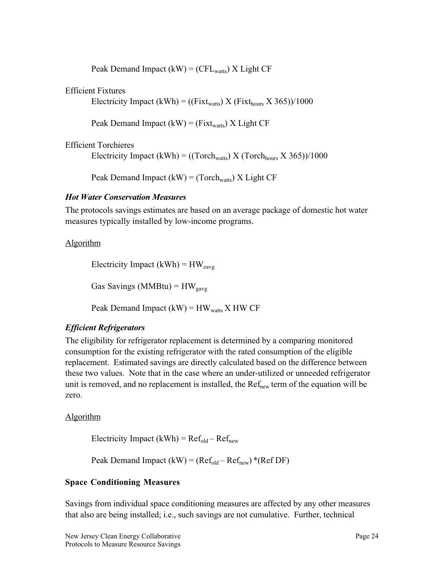Peak Demand Impact  $(kW) = (CFL_{watts}) X Light CF$ 

#### <span id="page-27-0"></span>Efficient Fixtures

Electricity Impact (kWh) = ((Fixt<sub>watts</sub>) X (Fixt<sub>hours</sub> X 365))/1000

Peak Demand Impact (kW) = ( $Fix$ t<sub>watts</sub>) X Light CF

#### Efficient Torchieres

Electricity Impact (kWh) = ((Torch<sub>watts</sub>) X (Torch<sub>hours</sub> X 365))/1000

Peak Demand Impact  $(kW) = (Torch_{watts}) X Light CF$ 

#### *Hot Water Conservation Measures*

The protocols savings estimates are based on an average package of domestic hot water measures typically installed by low-income programs.

#### Algorithm

Electricity Impact (kWh) =  $HW_{\text{eavg}}$ 

Gas Savings (MMBtu) =  $HW_{\text{gavg}}$ 

Peak Demand Impact  $(kW) = HW_{watts} X HW CF$ 

### *Efficient Refrigerators*

The eligibility for refrigerator replacement is determined by a comparing monitored consumption for the existing refrigerator with the rated consumption of the eligible replacement. Estimated savings are directly calculated based on the difference between these two values. Note that in the case where an under-utilized or unneeded refrigerator unit is removed, and no replacement is installed, the  $Ref_{new}$  term of the equation will be zero.

#### Algorithm

Electricity Impact (kWh) =  $Ref_{old} - Ref_{new}$ 

Peak Demand Impact  $(kW) = (Ref_{old} - Ref_{new}) * (Ref DF)$ 

#### **Space Conditioning Measures**

Savings from individual space conditioning measures are affected by any other measures that also are being installed; i.e., such savings are not cumulative. Further, technical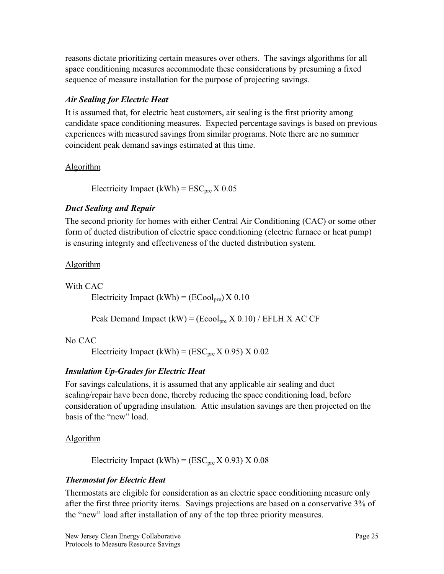<span id="page-28-0"></span>reasons dictate prioritizing certain measures over others. The savings algorithms for all space conditioning measures accommodate these considerations by presuming a fixed sequence of measure installation for the purpose of projecting savings.

### *Air Sealing for Electric Heat*

It is assumed that, for electric heat customers, air sealing is the first priority among candidate space conditioning measures. Expected percentage savings is based on previous experiences with measured savings from similar programs. Note there are no summer coincident peak demand savings estimated at this time.

### Algorithm

Electricity Impact (kWh) =  $\text{ESC}_{\text{pre}}$  X 0.05

### *Duct Sealing and Repair*

The second priority for homes with either Central Air Conditioning (CAC) or some other form of ducted distribution of electric space conditioning (electric furnace or heat pump) is ensuring integrity and effectiveness of the ducted distribution system.

### Algorithm

With CAC

Electricity Impact (kWh) =  $(ECool<sub>pre</sub>) X 0.10$ 

Peak Demand Impact  $(kW) = (Ecool<sub>pre</sub> X 0.10) / EFLH X AC CF$ 

### No CAC

Electricity Impact (kWh) = (ESC<sub>pre</sub> X 0.95) X 0.02

# *Insulation Up-Grades for Electric Heat*

For savings calculations, it is assumed that any applicable air sealing and duct sealing/repair have been done, thereby reducing the space conditioning load, before consideration of upgrading insulation. Attic insulation savings are then projected on the basis of the "new" load.

### **Algorithm**

Electricity Impact (kWh) =  $(ESC<sub>pre</sub> X 0.93) X 0.08$ 

# *Thermostat for Electric Heat*

Thermostats are eligible for consideration as an electric space conditioning measure only after the first three priority items. Savings projections are based on a conservative 3% of the "new" load after installation of any of the top three priority measures.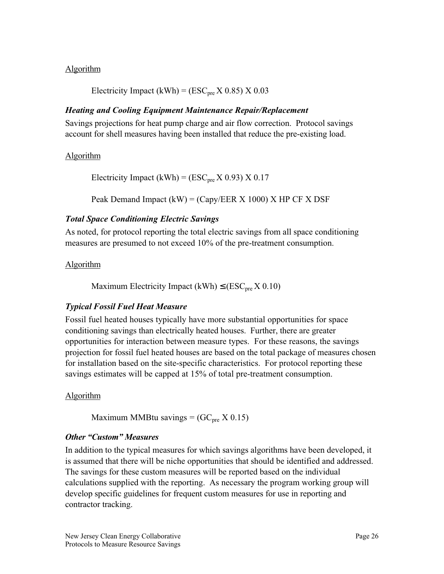#### <span id="page-29-0"></span>Algorithm

Electricity Impact (kWh) =  $(ESC<sub>pre</sub> X 0.85) X 0.03$ 

#### *Heating and Cooling Equipment Maintenance Repair/Replacement*

Savings projections for heat pump charge and air flow correction. Protocol savings account for shell measures having been installed that reduce the pre-existing load.

#### Algorithm

Electricity Impact (kWh) = ( $\text{ESC}_{\text{pre}}$  X 0.93) X 0.17

Peak Demand Impact  $(kW) = (Capy/EER X 1000) X HP CF X DSF$ 

#### *Total Space Conditioning Electric Savings*

As noted, for protocol reporting the total electric savings from all space conditioning measures are presumed to not exceed 10% of the pre-treatment consumption.

#### **Algorithm**

Maximum Electricity Impact (kWh)  $\leq$  (ESC<sub>pre</sub> X 0.10)

#### *Typical Fossil Fuel Heat Measure*

Fossil fuel heated houses typically have more substantial opportunities for space conditioning savings than electrically heated houses. Further, there are greater opportunities for interaction between measure types. For these reasons, the savings projection for fossil fuel heated houses are based on the total package of measures chosen for installation based on the site-specific characteristics. For protocol reporting these savings estimates will be capped at 15% of total pre-treatment consumption.

#### Algorithm

Maximum MMBtu savings =  $(GC<sub>pre</sub> X 0.15)$ 

#### *Other "Custom" Measures*

In addition to the typical measures for which savings algorithms have been developed, it is assumed that there will be niche opportunities that should be identified and addressed. The savings for these custom measures will be reported based on the individual calculations supplied with the reporting. As necessary the program working group will develop specific guidelines for frequent custom measures for use in reporting and contractor tracking.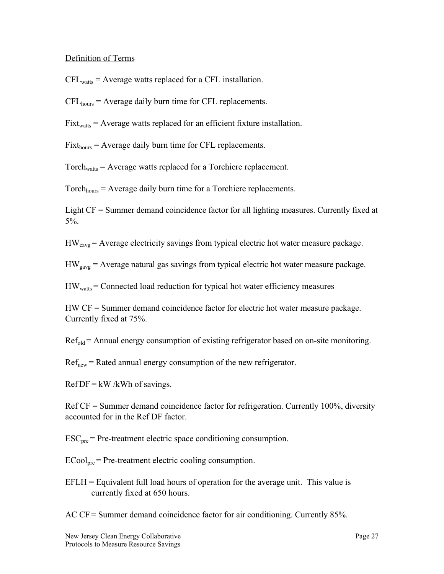#### Definition of Terms

 $CFL<sub>watts</sub> = Average watts replaced for a CFL installation.$ 

 $CFL<sub>hours</sub> = Average daily burn time for CFL replacements.$ 

 $Fixt<sub>watts</sub> = Average watts replaced for an efficient fixture installation.$ 

 $Fixt_{hours} = Average$  daily burn time for CFL replacements.

 $Torch<sub>watts</sub> = Average watts replaced for a Torchiere replacement.$ 

 $Torch<sub>hours</sub> = Average daily burn time for a Torchiere replacements.$ 

Light CF = Summer demand coincidence factor for all lighting measures. Currently fixed at 5%.

 $HW<sub>eave</sub>$  = Average electricity savings from typical electric hot water measure package.

 $HW<sub>gavg</sub> = Average natural gas savings from typical electric hot water measure package.$ 

 $HW<sub>watts</sub> = Connected load reduction for typical hot water efficiency measures$ 

HW CF = Summer demand coincidence factor for electric hot water measure package. Currently fixed at 75%.

 $Ref_{old}$  = Annual energy consumption of existing refrigerator based on on-site monitoring.

 $Ref<sub>new</sub> = Rated annual energy consumption of the new refrigerator.$ 

 $RefDF = kW / kWh$  of savings.

Ref CF = Summer demand coincidence factor for refrigeration. Currently 100%, diversity accounted for in the Ref DF factor.

 $\text{ESC}_{\text{pre}}$  = Pre-treatment electric space conditioning consumption.

 $ECool<sub>pre</sub>$  = Pre-treatment electric cooling consumption.

 $EFLH = Equivalent full load hours of operation for the average unit. This value is$ currently fixed at 650 hours.

AC CF = Summer demand coincidence factor for air conditioning. Currently 85%.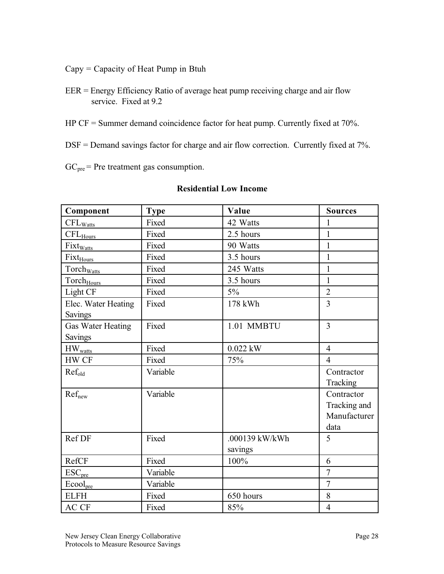- Capy = Capacity of Heat Pump in Btuh
- EER = Energy Efficiency Ratio of average heat pump receiving charge and air flow service. Fixed at 9.2
- HP CF = Summer demand coincidence factor for heat pump. Currently fixed at 70%.
- DSF = Demand savings factor for charge and air flow correction. Currently fixed at 7%.
- $GC<sub>pre</sub>$  = Pre treatment gas consumption.

| Component                   | <b>Type</b> | Value          | <b>Sources</b> |
|-----------------------------|-------------|----------------|----------------|
| $\text{CFL}_{\text{Watts}}$ | Fixed       | 42 Watts       | $\mathbf{1}$   |
| $\text{CFL}_{\text{Hours}}$ | Fixed       | 2.5 hours      | $\mathbf{1}$   |
| Fixt <sub>Watts</sub>       | Fixed       | 90 Watts       | $\mathbf{1}$   |
| Fixt <sub>Hours</sub>       | Fixed       | 3.5 hours      | $\mathbf{1}$   |
| Torchwatts                  | Fixed       | 245 Watts      | 1              |
| Torch <sub>Hours</sub>      | Fixed       | 3.5 hours      | $\mathbf{1}$   |
| Light CF                    | Fixed       | $5\%$          | $\overline{2}$ |
| Elec. Water Heating         | Fixed       | 178 kWh        | $\overline{3}$ |
| Savings                     |             |                |                |
| <b>Gas Water Heating</b>    | Fixed       | 1.01 MMBTU     | $\overline{3}$ |
| <b>Savings</b>              |             |                |                |
| $HW_{watts}$                | Fixed       | 0.022 kW       | $\overline{4}$ |
| HW CF                       | Fixed       | 75%            | $\overline{4}$ |
| $Ref_{old}$                 | Variable    |                | Contractor     |
|                             |             |                | Tracking       |
| $Ref_{new}$                 | Variable    |                | Contractor     |
|                             |             |                | Tracking and   |
|                             |             |                | Manufacturer   |
|                             |             |                | data           |
| Ref DF                      | Fixed       | .000139 kW/kWh | 5              |
|                             |             | savings        |                |
| RefCF                       | Fixed       | 100%           | 6              |
| $\text{ESC}_{\text{pre}}$   | Variable    |                | $\overline{7}$ |
| Ecool <sub>pre</sub>        | Variable    |                | $\overline{7}$ |
| <b>ELFH</b>                 | Fixed       | 650 hours      | 8              |
| AC CF                       | Fixed       | 85%            | $\overline{4}$ |

#### **Residential Low Income**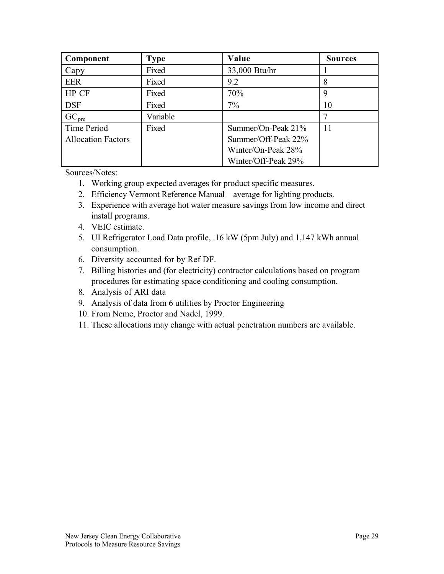| Component                 | <b>Type</b> | Value               | <b>Sources</b> |
|---------------------------|-------------|---------------------|----------------|
| Capy                      | Fixed       | 33,000 Btu/hr       |                |
| <b>EER</b>                | Fixed       | 9.2                 | 8              |
| HP CF                     | Fixed       | 70%                 | 9              |
| <b>DSF</b>                | Fixed       | $7\%$               | 10             |
| GC <sub>pre</sub>         | Variable    |                     |                |
| Time Period               | Fixed       | Summer/On-Peak 21%  | 11             |
| <b>Allocation Factors</b> |             | Summer/Off-Peak 22% |                |
|                           |             | Winter/On-Peak 28%  |                |
|                           |             | Winter/Off-Peak 29% |                |

Sources/Notes:

- 1. Working group expected averages for product specific measures.
- 2. Efficiency Vermont Reference Manual average for lighting products.
- 3. Experience with average hot water measure savings from low income and direct install programs.
- 4. VEIC estimate.
- 5. UI Refrigerator Load Data profile, .16 kW (5pm July) and 1,147 kWh annual consumption.
- 6. Diversity accounted for by Ref DF.
- 7. Billing histories and (for electricity) contractor calculations based on program procedures for estimating space conditioning and cooling consumption.
- 8. Analysis of ARI data
- 9. Analysis of data from 6 utilities by Proctor Engineering
- 10. From Neme, Proctor and Nadel, 1999.
- 11. These allocations may change with actual penetration numbers are available.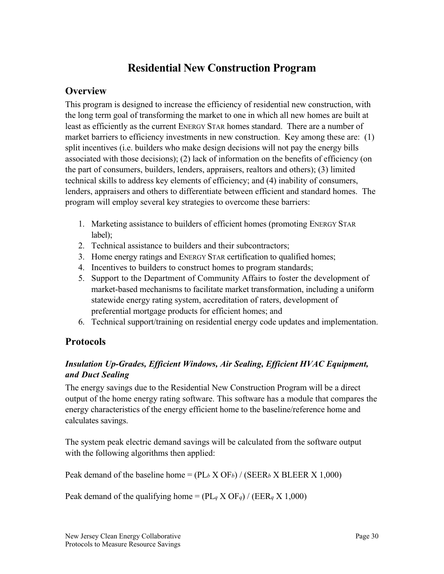# **Residential New Construction Program**

# <span id="page-33-0"></span>**Overview**

This program is designed to increase the efficiency of residential new construction, with the long term goal of transforming the market to one in which all new homes are built at least as efficiently as the current ENERGY STAR homes standard. There are a number of market barriers to efficiency investments in new construction. Key among these are: (1) split incentives (i.e. builders who make design decisions will not pay the energy bills associated with those decisions); (2) lack of information on the benefits of efficiency (on the part of consumers, builders, lenders, appraisers, realtors and others); (3) limited technical skills to address key elements of efficiency; and (4) inability of consumers, lenders, appraisers and others to differentiate between efficient and standard homes. The program will employ several key strategies to overcome these barriers:

- 1. Marketing assistance to builders of efficient homes (promoting ENERGY STAR label);
- 2. Technical assistance to builders and their subcontractors;
- 3. Home energy ratings and ENERGY STAR certification to qualified homes;
- 4. Incentives to builders to construct homes to program standards;
- 5. Support to the Department of Community Affairs to foster the development of market-based mechanisms to facilitate market transformation, including a uniform statewide energy rating system, accreditation of raters, development of preferential mortgage products for efficient homes; and
- 6. Technical support/training on residential energy code updates and implementation.

# **Protocols**

### *Insulation Up-Grades, Efficient Windows, Air Sealing, Efficient HVAC Equipment, and Duct Sealing*

The energy savings due to the Residential New Construction Program will be a direct output of the home energy rating software. This software has a module that compares the energy characteristics of the energy efficient home to the baseline/reference home and calculates savings.

The system peak electric demand savings will be calculated from the software output with the following algorithms then applied:

Peak demand of the baseline home =  $(PL_b X OF_b) / (SEER_b X BLEER X 1,000)$ 

Peak demand of the qualifying home =  $(PL_q X OF_q) / (EER_q X 1,000)$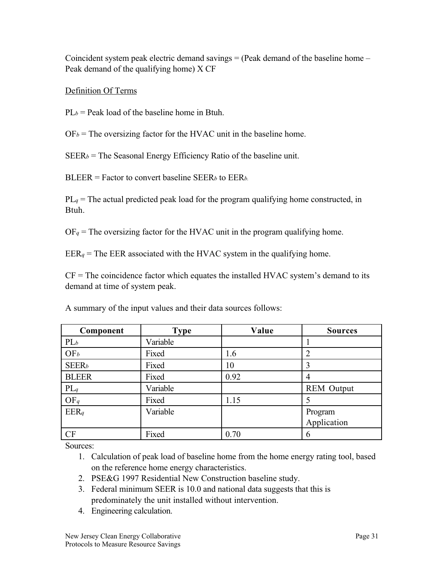Coincident system peak electric demand savings = (Peak demand of the baseline home – Peak demand of the qualifying home) X CF

#### Definition Of Terms

 $PL_b$  = Peak load of the baseline home in Btuh.

 $OF_b$  = The oversizing factor for the HVAC unit in the baseline home.

 $SEER_b$  = The Seasonal Energy Efficiency Ratio of the baseline unit.

BLEER = Factor to convert baseline SEER*b* to EER*b.*

 $PL_q$  = The actual predicted peak load for the program qualifying home constructed, in Btuh.

 $OF_q$  = The oversizing factor for the HVAC unit in the program qualifying home.

 $EER_q$  = The EER associated with the HVAC system in the qualifying home.

 $CF = The coincidence factor which equates the installed HVAC system's demand to its$ demand at time of system peak.

| Component                | <b>Type</b> | Value | <b>Sources</b>    |
|--------------------------|-------------|-------|-------------------|
| $PL_b$                   | Variable    |       |                   |
| OF <sub>b</sub>          | Fixed       | 1.6   | $\overline{2}$    |
| <b>SEER</b> <sub>b</sub> | Fixed       | 10    | 3                 |
| <b>BLEER</b>             | Fixed       | 0.92  | 4                 |
| $PL_q$                   | Variable    |       | <b>REM</b> Output |
| $OF_q$                   | Fixed       | 1.15  |                   |
| EERq                     | Variable    |       | Program           |
|                          |             |       | Application       |
| CF                       | Fixed       | 0.70  | 6                 |

A summary of the input values and their data sources follows:

Sources:

1. Calculation of peak load of baseline home from the home energy rating tool, based on the reference home energy characteristics.

- 2. PSE&G 1997 Residential New Construction baseline study.
- 3. Federal minimum SEER is 10.0 and national data suggests that this is predominately the unit installed without intervention.
- 4. Engineering calculation.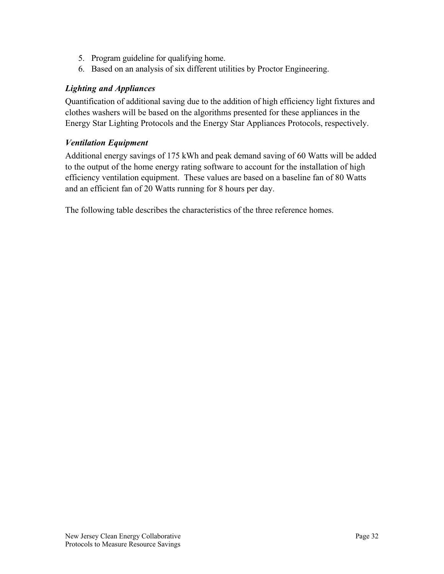- <span id="page-35-0"></span>5. Program guideline for qualifying home.
- 6. Based on an analysis of six different utilities by Proctor Engineering.

#### *Lighting and Appliances*

Quantification of additional saving due to the addition of high efficiency light fixtures and clothes washers will be based on the algorithms presented for these appliances in the Energy Star Lighting Protocols and the Energy Star Appliances Protocols, respectively.

#### *Ventilation Equipment*

Additional energy savings of 175 kWh and peak demand saving of 60 Watts will be added to the output of the home energy rating software to account for the installation of high efficiency ventilation equipment. These values are based on a baseline fan of 80 Watts and an efficient fan of 20 Watts running for 8 hours per day.

The following table describes the characteristics of the three reference homes.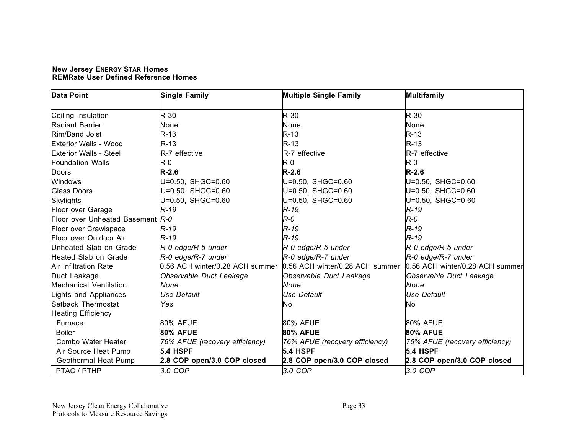| <b>New Jersey ENERGY STAR Homes</b>         |  |
|---------------------------------------------|--|
| <b>REMRate User Defined Reference Homes</b> |  |

| <b>Data Point</b>                | <b>Single Family</b>                                            | <b>Multiple Single Family</b>  | <b>Multifamily</b>              |
|----------------------------------|-----------------------------------------------------------------|--------------------------------|---------------------------------|
| Ceiling Insulation               | $R-30$                                                          | $R-30$                         | $R-30$                          |
| <b>Radiant Barrier</b>           | None                                                            | None                           | None                            |
| Rim/Band Joist                   | $R-13$                                                          | $R-13$                         | $R-13$                          |
| Exterior Walls - Wood            | $R-13$                                                          | $R-13$                         | $R-13$                          |
| <b>Exterior Walls - Steel</b>    | R-7 effective                                                   | R-7 effective                  | R-7 effective                   |
| <b>Foundation Walls</b>          | R-0                                                             | R-0                            | $R-0$                           |
| Doors                            | $R-2.6$                                                         | $R-2.6$                        | $R-2.6$                         |
| Windows                          | U=0.50, SHGC=0.60                                               | U=0.50, SHGC=0.60              | U=0.50, SHGC=0.60               |
| <b>Glass Doors</b>               | U=0.50, SHGC=0.60                                               | U=0.50, SHGC=0.60              | U=0.50, SHGC=0.60               |
| <b>Skylights</b>                 | U=0.50, SHGC=0.60                                               | U=0.50, SHGC=0.60              | U=0.50, SHGC=0.60               |
| Floor over Garage                | $R-19$                                                          | $R-19$                         | $R-19$                          |
| Floor over Unheated Basement R-0 |                                                                 | R-0                            | $R - O$                         |
| Floor over Crawlspace            | $R-19$                                                          | R-19                           | $R-19$                          |
| Floor over Outdoor Air           | $R-19$                                                          | $R-19$                         | $R-19$                          |
| Unheated Slab on Grade           | R-0 edge/R-5 under                                              | R-0 edge/R-5 under             | R-0 edge/R-5 under              |
| Heated Slab on Grade             | R-0 edge/R-7 under                                              | R-0 edge/R-7 under             | R-0 edge/R-7 under              |
| Air Infiltration Rate            | 0.56 ACH winter/0.28 ACH summer 0.56 ACH winter/0.28 ACH summer |                                | 0.56 ACH winter/0.28 ACH summer |
| Duct Leakage                     | Observable Duct Leakage                                         | Observable Duct Leakage        | Observable Duct Leakage         |
| <b>Mechanical Ventilation</b>    | None                                                            | None                           | None                            |
| Lights and Appliances            | <b>Use Default</b>                                              | <b>Use Default</b>             | Use Default                     |
| Setback Thermostat               | Yes                                                             | No                             | No                              |
| <b>Heating Efficiency</b>        |                                                                 |                                |                                 |
| Furnace                          | <b>80% AFUE</b>                                                 | <b>80% AFUE</b>                | <b>80% AFUE</b>                 |
| <b>Boiler</b>                    | <b>80% AFUE</b>                                                 | <b>80% AFUE</b>                | <b>80% AFUE</b>                 |
| Combo Water Heater               | 76% AFUE (recovery efficiency)                                  | 76% AFUE (recovery efficiency) | 76% AFUE (recovery efficiency)  |
| Air Source Heat Pump             | <b>5.4 HSPF</b>                                                 | <b>5.4 HSPF</b>                | <b>5.4 HSPF</b>                 |
| Geothermal Heat Pump             | 2.8 COP open/3.0 COP closed                                     | 2.8 COP open/3.0 COP closed    | 2.8 COP open/3.0 COP closed     |
| PTAC / PTHP                      | 3.0 COP                                                         | 3.0 COP                        | 3.0 COP                         |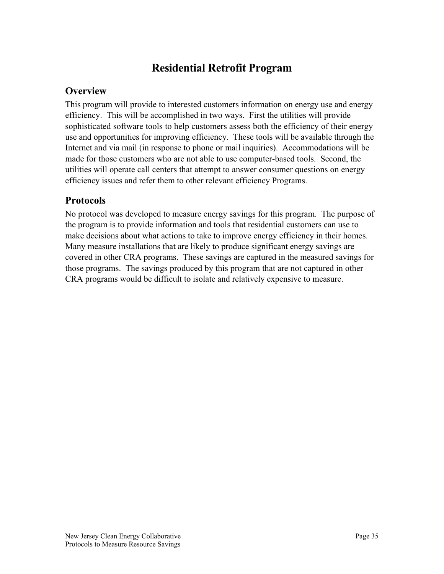# **Residential Retrofit Program**

# **Overview**

This program will provide to interested customers information on energy use and energy efficiency. This will be accomplished in two ways. First the utilities will provide sophisticated software tools to help customers assess both the efficiency of their energy use and opportunities for improving efficiency. These tools will be available through the Internet and via mail (in response to phone or mail inquiries). Accommodations will be made for those customers who are not able to use computer-based tools. Second, the utilities will operate call centers that attempt to answer consumer questions on energy efficiency issues and refer them to other relevant efficiency Programs.

# **Protocols**

No protocol was developed to measure energy savings for this program. The purpose of the program is to provide information and tools that residential customers can use to make decisions about what actions to take to improve energy efficiency in their homes. Many measure installations that are likely to produce significant energy savings are covered in other CRA programs. These savings are captured in the measured savings for those programs. The savings produced by this program that are not captured in other CRA programs would be difficult to isolate and relatively expensive to measure.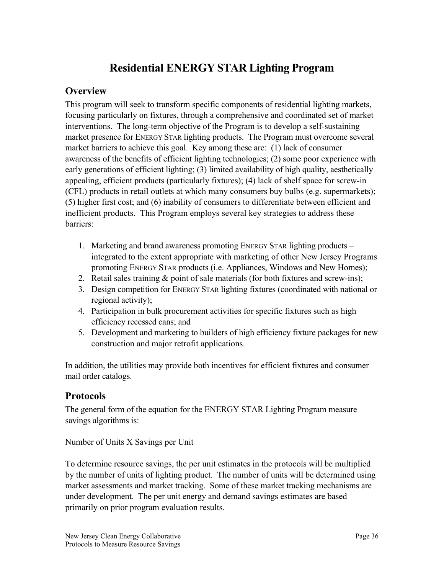# **Residential ENERGY STAR Lighting Program**

# **Overview**

This program will seek to transform specific components of residential lighting markets, focusing particularly on fixtures, through a comprehensive and coordinated set of market interventions. The long-term objective of the Program is to develop a self-sustaining market presence for ENERGY STAR lighting products. The Program must overcome several market barriers to achieve this goal. Key among these are: (1) lack of consumer awareness of the benefits of efficient lighting technologies; (2) some poor experience with early generations of efficient lighting; (3) limited availability of high quality, aesthetically appealing, efficient products (particularly fixtures); (4) lack of shelf space for screw-in (CFL) products in retail outlets at which many consumers buy bulbs (e.g. supermarkets); (5) higher first cost; and (6) inability of consumers to differentiate between efficient and inefficient products. This Program employs several key strategies to address these barriers:

- 1. Marketing and brand awareness promoting ENERGY STAR lighting products integrated to the extent appropriate with marketing of other New Jersey Programs promoting ENERGY STAR products (i.e. Appliances, Windows and New Homes);
- 2. Retail sales training & point of sale materials (for both fixtures and screw-ins);
- 3. Design competition for ENERGY STAR lighting fixtures (coordinated with national or regional activity);
- 4. Participation in bulk procurement activities for specific fixtures such as high efficiency recessed cans; and
- 5. Development and marketing to builders of high efficiency fixture packages for new construction and major retrofit applications.

In addition, the utilities may provide both incentives for efficient fixtures and consumer mail order catalogs.

# **Protocols**

The general form of the equation for the ENERGY STAR Lighting Program measure savings algorithms is:

Number of Units X Savings per Unit

To determine resource savings, the per unit estimates in the protocols will be multiplied by the number of units of lighting product. The number of units will be determined using market assessments and market tracking. Some of these market tracking mechanisms are under development. The per unit energy and demand savings estimates are based primarily on prior program evaluation results.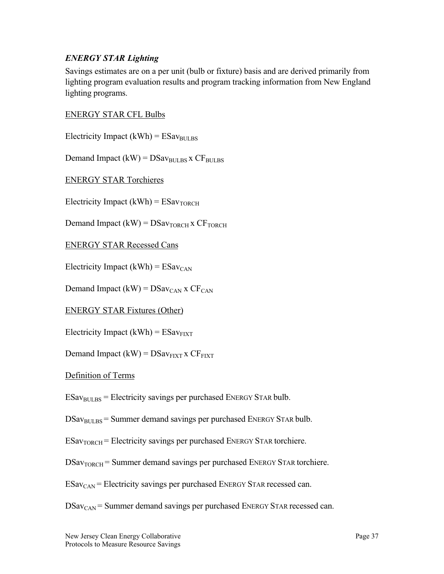#### *ENERGY STAR Lighting*

Savings estimates are on a per unit (bulb or fixture) basis and are derived primarily from lighting program evaluation results and program tracking information from New England lighting programs.

#### ENERGY STAR CFL Bulbs

Electricity Impact (kWh) =  $ESav<sub>BULBS</sub>$ 

Demand Impact (kW) =  $DSav_{BULBS}$  x  $CF_{BULBS}$ 

ENERGY STAR Torchieres

Electricity Impact (kWh) =  $ESav<sub>TORCH</sub>$ 

Demand Impact  $(kW) = DSav_{TORCH}x CF_{TORCH}$ 

ENERGY STAR Recessed Cans

Electricity Impact (kWh) =  $ESav_{CAN}$ 

Demand Impact (kW) =  $DSav_{CAN}$  x  $CF_{CAN}$ 

ENERGY STAR Fixtures (Other)

Electricity Impact (kWh) =  $ESav_{FIXT}$ 

Demand Impact (kW) =  $DSav_{\text{FIXT}}$  x  $CF_{\text{FIXT}}$ 

Definition of Terms

 $ESav<sub>BULBS</sub>$  = Electricity savings per purchased ENERGY STAR bulb.

 $DSav<sub>BULBS</sub> = Summer demand savings per purchased Energy START bulb.$ 

 $ESav<sub>TORCH</sub>$  = Electricity savings per purchased ENERGY STAR torchiere.

 $DSav<sub>TORCH</sub>$  = Summer demand savings per purchased ENERGY STAR torchiere.

 $ESav<sub>CAN</sub>$  = Electricity savings per purchased ENERGY STAR recessed can.

 $DSav<sub>CAN</sub>$  = Summer demand savings per purchased ENERGY STAR recessed can.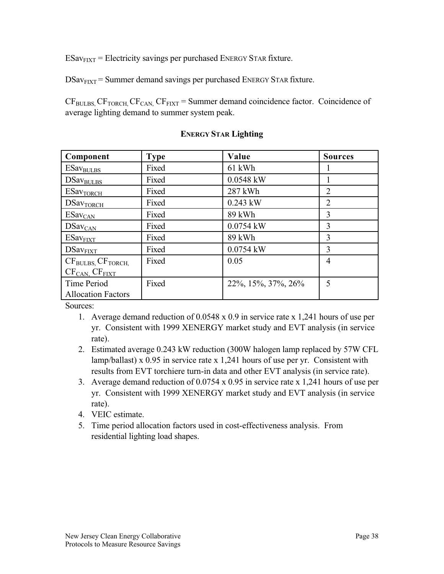$ESav<sub>FIT</sub> = Electricity savings per purchased Energy START fixture.$ 

 $DSav<sub>FiXT</sub> = Summer demand savings per purchased Energy START future.$ 

 $CF<sub>BULBS</sub> CF<sub>TORCH</sub> CF<sub>CAN</sub> CF<sub>FIXT</sub> = Summer demand coincidence factor. Coincidence of$ average lighting demand to summer system peak.

| Component                 | <b>Type</b> | Value                  | <b>Sources</b> |
|---------------------------|-------------|------------------------|----------------|
| ESav <sub>BULBS</sub>     | Fixed       | 61 kWh                 |                |
| DSav <sub>BULBS</sub>     | Fixed       | $0.0548$ kW            |                |
| ESav <sub>TORCH</sub>     | Fixed       | 287 kWh                | $\overline{2}$ |
| DSav <sub>TORCH</sub>     | Fixed       | $0.243$ kW             | $\overline{2}$ |
| ESav <sub>CAN</sub>       | Fixed       | 89 kWh                 | 3              |
| DSav <sub>CAN</sub>       | Fixed       | $0.0754$ kW            | 3              |
| ESav <sub>FIXT</sub>      | Fixed       | 89 kWh                 | 3              |
| $DSav$ <sub>FIXT</sub>    | Fixed       | $0.0754$ kW            | 3              |
| $CFBULBS$ , $CFTORCH$     | Fixed       | 0.05                   | $\overline{4}$ |
| $CF_{CAN}$ , $CF_{FIXT}$  |             |                        |                |
| Time Period               | Fixed       | 22\%, 15\%, 37\%, 26\% | 5              |
| <b>Allocation Factors</b> |             |                        |                |

#### **ENERGY STAR Lighting**

Sources:

- 1. Average demand reduction of 0.0548 x 0.9 in service rate x 1,241 hours of use per yr. Consistent with 1999 XENERGY market study and EVT analysis (in service rate).
- 2. Estimated average 0.243 kW reduction (300W halogen lamp replaced by 57W CFL lamp/ballast) x 0.95 in service rate x 1,241 hours of use per yr. Consistent with results from EVT torchiere turn-in data and other EVT analysis (in service rate).
- 3. Average demand reduction of 0.0754 x 0.95 in service rate x 1,241 hours of use per yr. Consistent with 1999 XENERGY market study and EVT analysis (in service rate).
- 4. VEIC estimate.
- 5. Time period allocation factors used in cost-effectiveness analysis. From residential lighting load shapes.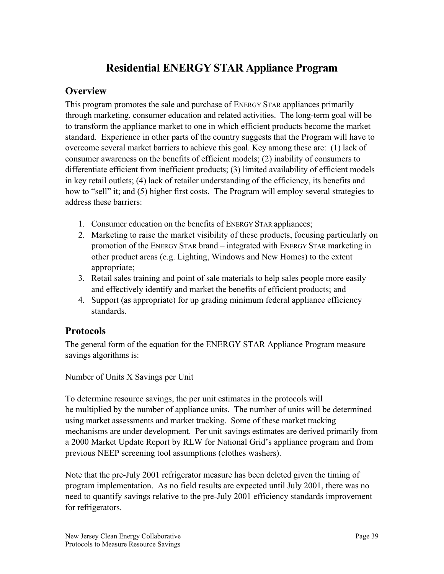# **Residential ENERGY STAR Appliance Program**

## **Overview**

This program promotes the sale and purchase of ENERGY STAR appliances primarily through marketing, consumer education and related activities. The long-term goal will be to transform the appliance market to one in which efficient products become the market standard. Experience in other parts of the country suggests that the Program will have to overcome several market barriers to achieve this goal. Key among these are: (1) lack of consumer awareness on the benefits of efficient models; (2) inability of consumers to differentiate efficient from inefficient products; (3) limited availability of efficient models in key retail outlets; (4) lack of retailer understanding of the efficiency, its benefits and how to "sell" it; and (5) higher first costs. The Program will employ several strategies to address these barriers:

- 1. Consumer education on the benefits of ENERGY STAR appliances;
- 2. Marketing to raise the market visibility of these products, focusing particularly on promotion of the ENERGY STAR brand – integrated with ENERGY STAR marketing in other product areas (e.g. Lighting, Windows and New Homes) to the extent appropriate;
- 3. Retail sales training and point of sale materials to help sales people more easily and effectively identify and market the benefits of efficient products; and
- 4. Support (as appropriate) for up grading minimum federal appliance efficiency standards.

# **Protocols**

The general form of the equation for the ENERGY STAR Appliance Program measure savings algorithms is:

Number of Units X Savings per Unit

To determine resource savings, the per unit estimates in the protocols will be multiplied by the number of appliance units. The number of units will be determined using market assessments and market tracking. Some of these market tracking mechanisms are under development. Per unit savings estimates are derived primarily from a 2000 Market Update Report by RLW for National Grid's appliance program and from previous NEEP screening tool assumptions (clothes washers).

Note that the pre-July 2001 refrigerator measure has been deleted given the timing of program implementation. As no field results are expected until July 2001, there was no need to quantify savings relative to the pre-July 2001 efficiency standards improvement for refrigerators.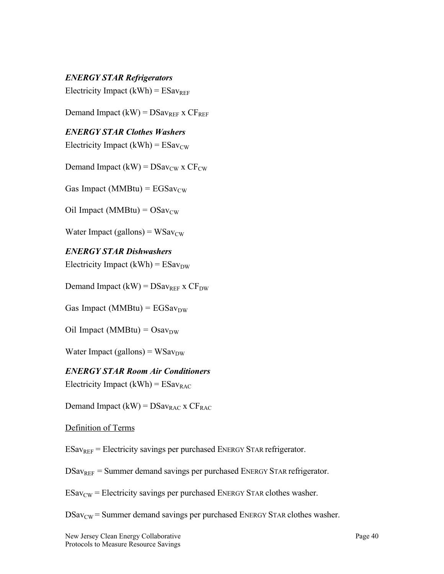*ENERGY STAR Refrigerators*

Electricity Impact (kWh) =  $ESav_{REF}$ 

Demand Impact (kW) =  $DSav_{REF}$  x  $CF_{REF}$ 

#### *ENERGY STAR Clothes Washers*

Electricity Impact (kWh) =  $ESav_{CW}$ 

Demand Impact (kW) =  $DSav_{CW}$  x  $CF_{CW}$ 

Gas Impact (MMBtu) =  $EGSav_{CW}$ 

Oil Impact (MMBtu) =  $OSav_{CW}$ 

Water Impact (gallons) =  $WSav_{CW}$ 

*ENERGY STAR Dishwashers* Electricity Impact (kWh) =  $ESav_{DW}$ 

Demand Impact (kW) =  $DSav_{REF}$  x  $CF_{DW}$ 

Gas Impact (MMBtu) =  $EGSav_{DW}$ 

Oil Impact (MMBtu) =  $Osav_{DW}$ 

Water Impact (gallons) =  $WSav_{DW}$ 

*ENERGY STAR Room Air Conditioners* Electricity Impact (kWh) =  $ESav_{RAC}$ 

Demand Impact (kW) =  $DSav_{RAC}$  x  $CF_{RAC}$ 

Definition of Terms

 $ESav_{REF}$  = Electricity savings per purchased ENERGY STAR refrigerator.

 $DSav_{REF}$  = Summer demand savings per purchased ENERGY STAR refrigerator.

 $ESav<sub>CW</sub>$  = Electricity savings per purchased ENERGY STAR clothes washer.

 $DSav_{CW}$  = Summer demand savings per purchased ENERGY STAR clothes washer.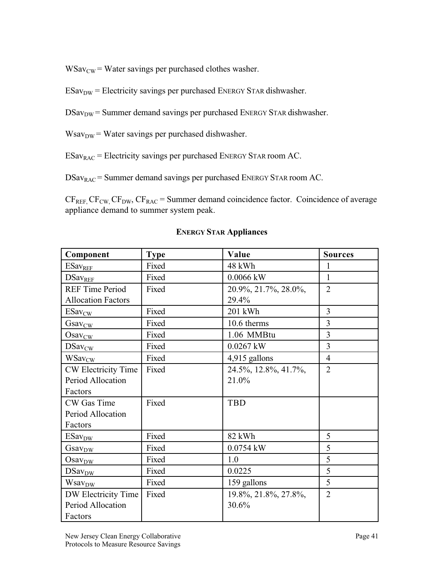$WSav<sub>CW</sub>$  = Water savings per purchased clothes washer.

- $ESav<sub>DW</sub>$  = Electricity savings per purchased ENERGY STAR dishwasher.
- DSav<sub>DW</sub> = Summer demand savings per purchased ENERGY STAR dishwasher.
- $Wsav<sub>DW</sub>$  = Water savings per purchased dishwasher.

 $ESav<sub>RAC</sub>$  = Electricity savings per purchased ENERGY STAR room AC.

DSav<sub>RAC</sub> = Summer demand savings per purchased ENERGY STAR room AC.

 $CF_{REF,}CF_{CW,}CF_{DW}$ ,  $CF_{RAC}$  = Summer demand coincidence factor. Coincidence of average appliance demand to summer system peak.

| Component                 | <b>Type</b> | Value                | <b>Sources</b> |
|---------------------------|-------------|----------------------|----------------|
| ESav <sub>REF</sub>       | Fixed       | 48 kWh               |                |
| <b>DSavREF</b>            | Fixed       | 0.0066 kW            | $\mathbf{1}$   |
| <b>REF Time Period</b>    | Fixed       | 20.9%, 21.7%, 28.0%, | $\overline{2}$ |
| <b>Allocation Factors</b> |             | 29.4%                |                |
| $ESav_{CW}$               | Fixed       | 201 kWh              | 3              |
| Gsav <sub>CW</sub>        | Fixed       | 10.6 therms          | 3              |
| Osav <sub>CW</sub>        | Fixed       | 1.06 MMBtu           | $\overline{3}$ |
| DSav <sub>CW</sub>        | Fixed       | 0.0267 kW            | $\overline{3}$ |
| <b>WSavcw</b>             | Fixed       | 4,915 gallons        | $\overline{4}$ |
| CW Electricity Time       | Fixed       | 24.5%, 12.8%, 41.7%, | $\overline{2}$ |
| Period Allocation         |             | 21.0%                |                |
| Factors                   |             |                      |                |
| CW Gas Time               | Fixed       | TBD                  |                |
| Period Allocation         |             |                      |                |
| Factors                   |             |                      |                |
| <b>ESav</b> <sub>DW</sub> | Fixed       | 82 kWh               | 5              |
| $Gasv_{DW}$               | Fixed       | 0.0754 kW            | 5              |
| Osav <sub>DW</sub>        | Fixed       | 1.0                  | 5              |
| DSav <sub>DW</sub>        | Fixed       | 0.0225               | 5              |
| Wsav <sub>DW</sub>        | Fixed       | 159 gallons          | 5              |
| DW Electricity Time       | Fixed       | 19.8%, 21.8%, 27.8%, | $\overline{2}$ |
| Period Allocation         |             | 30.6%                |                |
| Factors                   |             |                      |                |

#### **ENERGY STAR Appliances**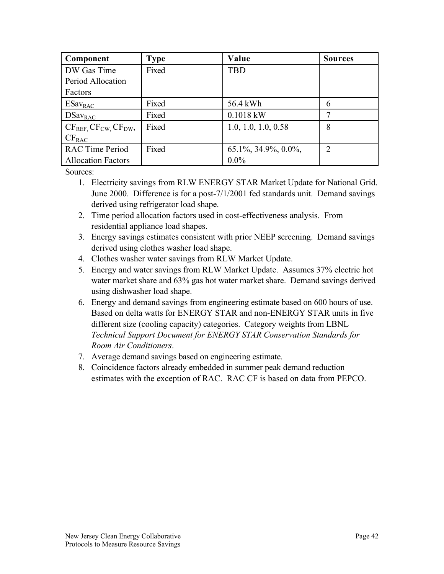| Component                 | <b>Type</b> | Value                    | <b>Sources</b> |
|---------------------------|-------------|--------------------------|----------------|
| DW Gas Time               | Fixed       | TBD                      |                |
| Period Allocation         |             |                          |                |
| Factors                   |             |                          |                |
| $ESav_{RAC}$              | Fixed       | 56.4 kWh                 | 6              |
| $DSav_{RAC}$              | Fixed       | $0.1018$ kW              |                |
| $CF_{REF}CF_{CW}CF_{DW}$  | Fixed       | 1.0, 1.0, 1.0, 0.58      | 8              |
| $CF_{RAC}$                |             |                          |                |
| <b>RAC Time Period</b>    | Fixed       | $65.1\%, 34.9\%, 0.0\%,$ | $\overline{2}$ |
| <b>Allocation Factors</b> |             | $0.0\%$                  |                |

Sources:

- 1. Electricity savings from RLW ENERGY STAR Market Update for National Grid. June 2000. Difference is for a post-7/1/2001 fed standards unit. Demand savings derived using refrigerator load shape.
- 2. Time period allocation factors used in cost-effectiveness analysis. From residential appliance load shapes.
- 3. Energy savings estimates consistent with prior NEEP screening. Demand savings derived using clothes washer load shape.
- 4. Clothes washer water savings from RLW Market Update.
- 5. Energy and water savings from RLW Market Update. Assumes 37% electric hot water market share and 63% gas hot water market share. Demand savings derived using dishwasher load shape.
- 6. Energy and demand savings from engineering estimate based on 600 hours of use. Based on delta watts for ENERGY STAR and non-ENERGY STAR units in five different size (cooling capacity) categories. Category weights from LBNL *Technical Support Document for ENERGY STAR Conservation Standards for Room Air Conditioners*.
- 7. Average demand savings based on engineering estimate.
- 8. Coincidence factors already embedded in summer peak demand reduction estimates with the exception of RAC. RAC CF is based on data from PEPCO.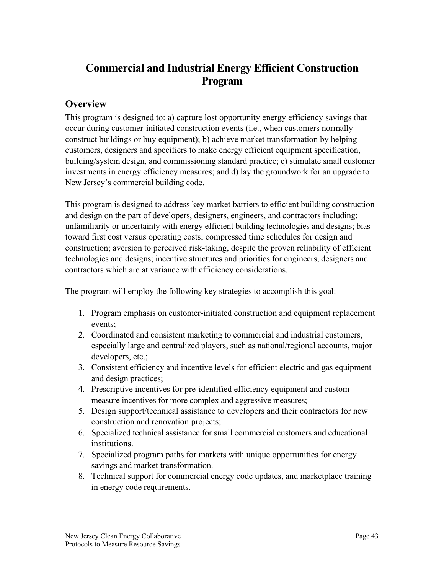# **Commercial and Industrial Energy Efficient Construction Program**

# **Overview**

This program is designed to: a) capture lost opportunity energy efficiency savings that occur during customer-initiated construction events (i.e., when customers normally construct buildings or buy equipment); b) achieve market transformation by helping customers, designers and specifiers to make energy efficient equipment specification, building/system design, and commissioning standard practice; c) stimulate small customer investments in energy efficiency measures; and d) lay the groundwork for an upgrade to New Jersey's commercial building code.

This program is designed to address key market barriers to efficient building construction and design on the part of developers, designers, engineers, and contractors including: unfamiliarity or uncertainty with energy efficient building technologies and designs; bias toward first cost versus operating costs; compressed time schedules for design and construction; aversion to perceived risk-taking, despite the proven reliability of efficient technologies and designs; incentive structures and priorities for engineers, designers and contractors which are at variance with efficiency considerations.

The program will employ the following key strategies to accomplish this goal:

- 1. Program emphasis on customer-initiated construction and equipment replacement events;
- 2. Coordinated and consistent marketing to commercial and industrial customers, especially large and centralized players, such as national/regional accounts, major developers, etc.;
- 3. Consistent efficiency and incentive levels for efficient electric and gas equipment and design practices;
- 4. Prescriptive incentives for pre-identified efficiency equipment and custom measure incentives for more complex and aggressive measures;
- 5. Design support/technical assistance to developers and their contractors for new construction and renovation projects;
- 6. Specialized technical assistance for small commercial customers and educational institutions.
- 7. Specialized program paths for markets with unique opportunities for energy savings and market transformation.
- 8. Technical support for commercial energy code updates, and marketplace training in energy code requirements.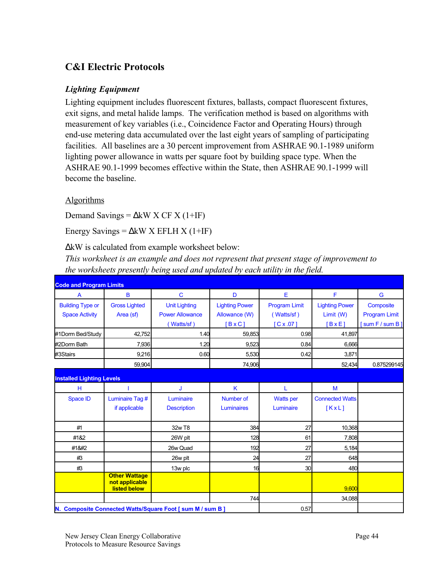# **C&I Electric Protocols**

### *Lighting Equipment*

Lighting equipment includes fluorescent fixtures, ballasts, compact fluorescent fixtures, exit signs, and metal halide lamps. The verification method is based on algorithms with measurement of key variables (i.e., Coincidence Factor and Operating Hours) through end-use metering data accumulated over the last eight years of sampling of participating facilities. All baselines are a 30 percent improvement from ASHRAE 90.1-1989 uniform lighting power allowance in watts per square foot by building space type. When the ASHRAE 90.1-1999 becomes effective within the State, then ASHRAE 90.1-1999 will become the baseline.

#### Algorithms

Demand Savings =  $\Delta$ kW X CF X (1+IF)

Energy Savings =  $\Delta$ kW X EFLH X (1+IF)

∆kW is calculated from example worksheet below:

*This worksheet is an example and does not represent that present stage of improvement to the worksheets presently being used and updated by each utility in the field.*

| <b>Code and Program Limits</b>   |                                                               |                                                            |                       |                      |                        |                      |
|----------------------------------|---------------------------------------------------------------|------------------------------------------------------------|-----------------------|----------------------|------------------------|----------------------|
| $\overline{A}$                   | B                                                             | $\mathbf C$                                                | D                     | E                    | F                      | G                    |
| <b>Building Type or</b>          | <b>Gross Lighted</b>                                          | <b>Unit Lighting</b>                                       | <b>Lighting Power</b> | <b>Program Limit</b> | <b>Lighting Power</b>  | Composite            |
| <b>Space Activity</b>            | Area (sf)                                                     | <b>Power Allowance</b>                                     | Allowance (W)         | (Watts/sf)           | Limit(W)               | <b>Program Limit</b> |
|                                  |                                                               | (Watts/sf)                                                 | $[B \times C]$        | C x .07              | $B \times E$           | [sum F / sum B]      |
| #1Dorm Bed/Study                 | 42,752                                                        | 1.40                                                       | 59,853                | 0.98                 | 41,897                 |                      |
| #2Dorm Bath                      | 7,936                                                         | 1.20                                                       | 9.523                 | 0.84                 | 6,666                  |                      |
| #3Stairs                         | 9,216                                                         | 0.60                                                       | 5,530                 | 0.42                 | 3,871                  |                      |
|                                  | 59,904                                                        |                                                            | 74,906                |                      | 52,434                 | 0.875299145          |
| <b>Installed Lighting Levels</b> |                                                               |                                                            |                       |                      |                        |                      |
| н                                |                                                               | J                                                          | K                     |                      | M                      |                      |
| <b>Space ID</b>                  | Luminaire Tag #                                               | Luminaire                                                  | Number of             | <b>Watts</b> per     | <b>Connected Watts</b> |                      |
|                                  | if applicable                                                 | <b>Description</b>                                         | Luminaires            | Luminaire            | KxL                    |                      |
| #1                               |                                                               | 32w T8                                                     | 384                   | 27                   | 10,368                 |                      |
| #1&2                             |                                                               | 26W plt                                                    | 128                   | 61                   | 7,808                  |                      |
| #1                              |                                                               | 26w Quad                                                   | 192                   | 27                   | 5,184                  |                      |
| #3                               |                                                               | 26w plt                                                    | 24                    | 27                   | 648                    |                      |
| #3                               |                                                               | 13w plc                                                    | 16                    | 30                   | 480                    |                      |
|                                  | <b>Other Wattage</b><br>not applicable<br><b>listed below</b> |                                                            |                       |                      | 9.600                  |                      |
|                                  |                                                               |                                                            | 744                   |                      | 34,088                 |                      |
|                                  |                                                               | N. Composite Connected Watts/Square Foot [ sum M / sum B ] |                       | 0.57                 |                        |                      |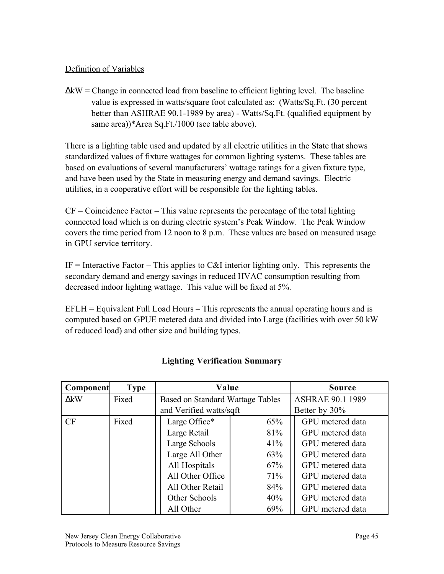### Definition of Variables

∆kW = Change in connected load from baseline to efficient lighting level. The baseline value is expressed in watts/square foot calculated as: (Watts/Sq.Ft. (30 percent better than ASHRAE 90.1-1989 by area) - Watts/Sq.Ft. (qualified equipment by same area))\*Area Sq.Ft./1000 (see table above).

There is a lighting table used and updated by all electric utilities in the State that shows standardized values of fixture wattages for common lighting systems. These tables are based on evaluations of several manufacturers' wattage ratings for a given fixture type, and have been used by the State in measuring energy and demand savings. Electric utilities, in a cooperative effort will be responsible for the lighting tables.

 $CF =$ Coincidence Factor – This value represents the percentage of the total lighting connected load which is on during electric system's Peak Window. The Peak Window covers the time period from 12 noon to 8 p.m. These values are based on measured usage in GPU service territory.

IF = Interactive Factor – This applies to C&I interior lighting only. This represents the secondary demand and energy savings in reduced HVAC consumption resulting from decreased indoor lighting wattage. This value will be fixed at 5%.

 $EFLH = Equivalent Full Load Hours - This represents the annual operating hours and is$ computed based on GPUE metered data and divided into Large (facilities with over 50 kW of reduced load) and other size and building types.

| Component   | <b>Type</b> | Value                                   | <b>Source</b> |                         |
|-------------|-------------|-----------------------------------------|---------------|-------------------------|
| $\Delta$ kW | Fixed       | <b>Based on Standard Wattage Tables</b> |               | <b>ASHRAE 90.1 1989</b> |
|             |             | and Verified watts/sqft                 |               | Better by 30%           |
| CF          | Fixed       | Large Office*                           | 65%           | GPU metered data        |
|             |             | Large Retail                            | 81%           | GPU metered data        |
|             |             | Large Schools                           | 41%           | GPU metered data        |
|             |             | Large All Other                         | 63%           | GPU metered data        |
|             |             | All Hospitals                           | 67%           | GPU metered data        |
|             |             | All Other Office                        | 71%           | GPU metered data        |
|             |             | All Other Retail                        | 84%           | GPU metered data        |
|             |             | Other Schools                           | 40%           | GPU metered data        |
|             |             | All Other                               | 69%           | GPU metered data        |

### **Lighting Verification Summary**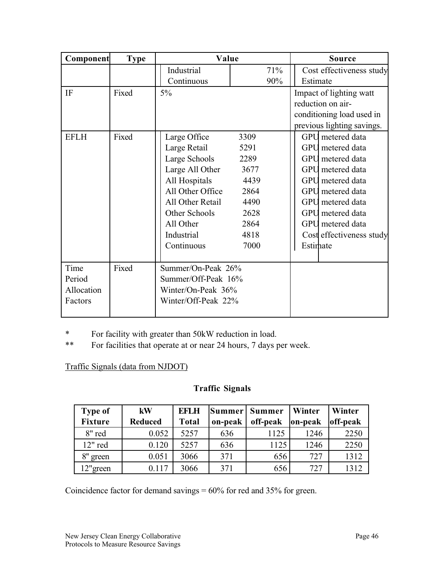| Component   | <b>Type</b> | Value               |      | Source                     |
|-------------|-------------|---------------------|------|----------------------------|
|             |             | Industrial          | 71%  | Cost effectiveness study   |
|             |             | Continuous          | 90%  | Estimate                   |
| IF          | Fixed       | $5\%$               |      | Impact of lighting watt    |
|             |             |                     |      | reduction on air-          |
|             |             |                     |      | conditioning load used in  |
|             |             |                     |      | previous lighting savings. |
| <b>EFLH</b> | Fixed       | Large Office        | 3309 | GPU metered data           |
|             |             | Large Retail        | 5291 | GPU metered data           |
|             |             | Large Schools       | 2289 | <b>GPU</b> metered data    |
|             |             | Large All Other     | 3677 | GPU metered data           |
|             |             | All Hospitals       | 4439 | GPU metered data           |
|             |             | All Other Office    | 2864 | GPU metered data           |
|             |             | All Other Retail    | 4490 | <b>GPU</b> metered data    |
|             |             | Other Schools       | 2628 | <b>GPU</b> metered data    |
|             |             | All Other           | 2864 | <b>GPU</b> metered data    |
|             |             | Industrial          | 4818 | Cost effectiveness study   |
|             |             | Continuous          | 7000 | Estimate                   |
|             |             |                     |      |                            |
| Time        | Fixed       | Summer/On-Peak 26%  |      |                            |
| Period      |             | Summer/Off-Peak 16% |      |                            |
| Allocation  |             | Winter/On-Peak 36%  |      |                            |
| Factors     |             | Winter/Off-Peak 22% |      |                            |
|             |             |                     |      |                            |

\* For facility with greater than 50kW reduction in load.

\*\* For facilities that operate at or near 24 hours, 7 days per week.

Traffic Signals (data from NJDOT)

## **Traffic Signals**

| <b>Type of</b><br><b>Fixture</b> | kW<br><b>Reduced</b> | <b>EFLH</b><br><b>Total</b> | Summer<br>on-peak | Summer<br>off-peak | Winter<br>on-peak | Winter<br>off-peak |
|----------------------------------|----------------------|-----------------------------|-------------------|--------------------|-------------------|--------------------|
| 8" red                           | 0.052                | 5257                        | 636               | 1125               | 1246              | 2250               |
| 12" red                          | 0.120                | 5257                        | 636               | 1125               | 1246              | 2250               |
| 8"<br>green                      | 0.051                | 3066                        | 371               | 656                | 727               | 1312               |
| 12"green                         | 0.117                | 3066                        | 371               | 656                | 727               | 1312               |

Coincidence factor for demand savings = 60% for red and 35% for green.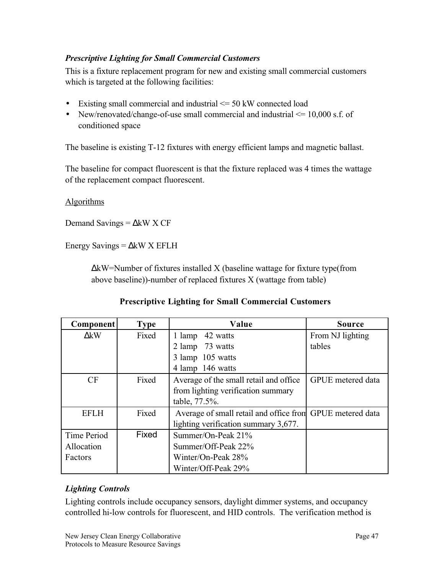### *Prescriptive Lighting for Small Commercial Customers*

This is a fixture replacement program for new and existing small commercial customers which is targeted at the following facilities:

- Existing small commercial and industrial  $\leq$  50 kW connected load
- New/renovated/change-of-use small commercial and industrial  $\leq$  10,000 s.f. of conditioned space

The baseline is existing T-12 fixtures with energy efficient lamps and magnetic ballast.

The baseline for compact fluorescent is that the fixture replaced was 4 times the wattage of the replacement compact fluorescent.

#### **Algorithms**

Demand Savings =  $\Delta$ kW X CF

Energy Savings =  $\Delta$ kW X EFLH

∆kW=Number of fixtures installed X (baseline wattage for fixture type(from above baseline))-number of replaced fixtures X (wattage from table)

#### **Prescriptive Lighting for Small Commercial Customers**

| <b>Component</b> | <b>Type</b> | Value                                                     | <b>Source</b>     |
|------------------|-------------|-----------------------------------------------------------|-------------------|
| $\Delta$ kW      | Fixed       | 1 lamp<br>42 watts                                        | From NJ lighting  |
|                  |             | 2 lamp 73 watts                                           | tables            |
|                  |             | 3 lamp 105 watts                                          |                   |
|                  |             | 4 lamp 146 watts                                          |                   |
| CF               | Fixed       | Average of the small retail and office                    | GPUE metered data |
|                  |             | from lighting verification summary                        |                   |
|                  |             | table, 77.5%.                                             |                   |
| <b>EFLH</b>      | Fixed       | Average of small retail and office from GPUE metered data |                   |
|                  |             | lighting verification summary 3,677.                      |                   |
| Time Period      | Fixed       | Summer/On-Peak $21\%$                                     |                   |
| Allocation       |             | Summer/Off-Peak 22%                                       |                   |
| Factors          |             | Winter/On-Peak 28%                                        |                   |
|                  |             | Winter/Off-Peak 29%                                       |                   |

### *Lighting Controls*

Lighting controls include occupancy sensors, daylight dimmer systems, and occupancy controlled hi-low controls for fluorescent, and HID controls. The verification method is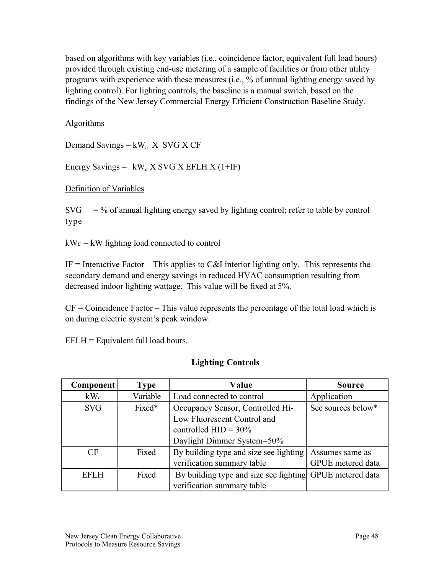based on algorithms with key variables (i.e., coincidence factor, equivalent full load hours) provided through existing end-use metering of a sample of facilities or from other utility programs with experience with these measures (i.e., % of annual lighting energy saved by lighting control). For lighting controls, the baseline is a manual switch, based on the findings of the New Jersey Commercial Energy Efficient Construction Baseline Study.

### **Algorithms**

Demand Savings = kW*c* X SVG X CF

Energy Savings = kW*c* X SVG X EFLH X (1+IF)

#### Definition of Variables

 $SVG = %$  of annual lighting energy saved by lighting control; refer to table by control type

kW*c* = kW lighting load connected to control

IF = Interactive Factor – This applies to C&I interior lighting only. This represents the secondary demand and energy savings in reduced HVAC consumption resulting from decreased indoor lighting wattage. This value will be fixed at 5%.

 $CF = Coincidence Factor - This value represents the percentage of the total load which is$ on during electric system's peak window.

 $EFLH = Equivalent full load hours.$ 

#### **Lighting Controls**

| <b>Component</b> | <b>Type</b> | Value                                                    | <b>Source</b>      |
|------------------|-------------|----------------------------------------------------------|--------------------|
| $kW_c$           | Variable    | Load connected to control                                | Application        |
| <b>SVG</b>       | Fixed*      | Occupancy Sensor, Controlled Hi-                         | See sources below* |
|                  |             | Low Fluorescent Control and                              |                    |
|                  |             | controlled $HID = 30\%$                                  |                    |
|                  |             | Daylight Dimmer System=50%                               |                    |
| CF               | Fixed       | By building type and size see lighting                   | Assumes same as    |
|                  |             | verification summary table                               | GPUE metered data  |
| <b>EFLH</b>      | Fixed       | By building type and size see lighting GPUE metered data |                    |
|                  |             | verification summary table                               |                    |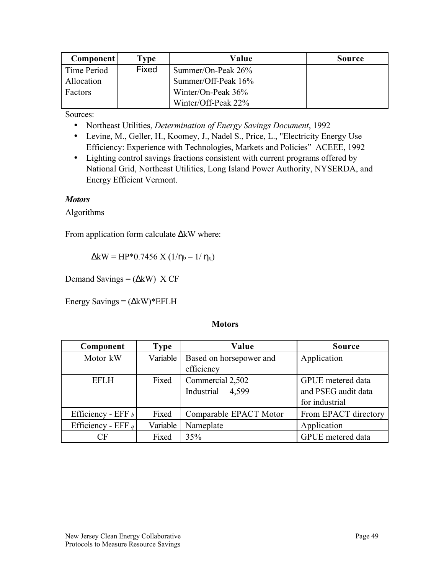| Component <b> </b> | <b>Type</b> | Value               | <b>Source</b> |
|--------------------|-------------|---------------------|---------------|
| Time Period        | Fixed       | Summer/On-Peak 26%  |               |
| Allocation         |             | Summer/Off-Peak 16% |               |
| <b>Factors</b>     |             | Winter/On-Peak 36%  |               |
|                    |             | Winter/Off-Peak 22% |               |

Sources:

- Northeast Utilities, *Determination of Energy Savings Document*, 1992
- Levine, M., Geller, H., Koomey, J., Nadel S., Price, L., "Electricity Energy Use Efficiency: Experience with Technologies, Markets and Policies" ACEEE, 1992
- Lighting control savings fractions consistent with current programs offered by National Grid, Northeast Utilities, Long Island Power Authority, NYSERDA, and Energy Efficient Vermont.

#### *Motors*

#### Algorithms

From application form calculate ∆kW where:

 $\Delta$ kW = HP\*0.7456 X (1/ $\eta_b$  – 1/ $\eta_q$ )

Demand Savings =  $(\Delta kW)$  X CF

Energy Savings =  $(\Delta kW)^*$ EFLH

#### **Motors**

| Component            | <b>Type</b> | Value                   | <b>Source</b>        |
|----------------------|-------------|-------------------------|----------------------|
| Motor kW             | Variable    | Based on horsepower and | Application          |
|                      |             | efficiency              |                      |
| <b>EFLH</b>          | Fixed       | Commercial 2,502        | GPUE metered data    |
|                      |             | Industrial<br>4,599     | and PSEG audit data  |
|                      |             |                         | for industrial       |
| Efficiency - EFF $b$ | Fixed       | Comparable EPACT Motor  | From EPACT directory |
| Efficiency - EFF $q$ | Variable    | Nameplate               | Application          |
| $\bigcirc$ F         | Fixed       | 35%                     | GPUE metered data    |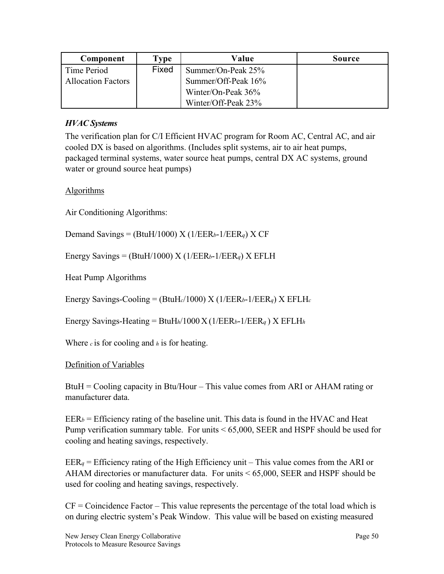| Component                 | Type  | Value               | <b>Source</b> |
|---------------------------|-------|---------------------|---------------|
| Time Period               | Fixed | Summer/On-Peak 25%  |               |
| <b>Allocation Factors</b> |       | Summer/Off-Peak 16% |               |
|                           |       | Winter/On-Peak 36%  |               |
|                           |       | Winter/Off-Peak 23% |               |

### *HVAC Systems*

The verification plan for C/I Efficient HVAC program for Room AC, Central AC, and air cooled DX is based on algorithms. (Includes split systems, air to air heat pumps, packaged terminal systems, water source heat pumps, central DX AC systems, ground water or ground source heat pumps)

#### Algorithms

Air Conditioning Algorithms:

Demand Savings = (BtuH/1000) X (1/EER*b*-1/EER*q*) X CF

Energy Savings = (BtuH/1000) X ( $1/EER_b-1/EER_q$ ) X EFLH

Heat Pump Algorithms

Energy Savings-Cooling = (BtuH*c*/1000) X (1/EER*b*-1/EER*q*) X EFLH*<sup>c</sup>*

Energy Savings-Heating = BtuH*h*/1000 X (1/EER*b*-1/EER*q* ) X EFLH*<sup>h</sup>*

Where *c* is for cooling and *h* is for heating.

#### Definition of Variables

BtuH = Cooling capacity in Btu/Hour – This value comes from ARI or AHAM rating or manufacturer data.

 $EER_b =$  Efficiency rating of the baseline unit. This data is found in the HVAC and Heat Pump verification summary table. For units < 65,000, SEER and HSPF should be used for cooling and heating savings, respectively.

 $EER_q =$  Efficiency rating of the High Efficiency unit – This value comes from the ARI or AHAM directories or manufacturer data. For units < 65,000, SEER and HSPF should be used for cooling and heating savings, respectively.

 $CF = Coincidence Factor - This value represents the percentage of the total load which is$ on during electric system's Peak Window. This value will be based on existing measured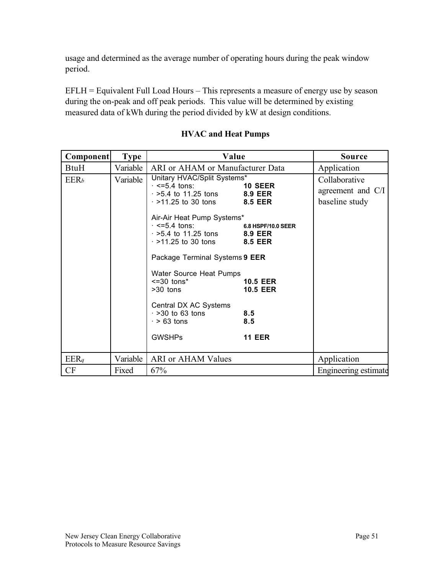usage and determined as the average number of operating hours during the peak window period.

EFLH = Equivalent Full Load Hours – This represents a measure of energy use by season during the on-peak and off peak periods. This value will be determined by existing measured data of kWh during the period divided by kW at design conditions.

| <b>Component</b>        | <b>Type</b> | Value                                                                                                                                                                                                                                                                                                                                                                                                                                                 | <b>Source</b>                                                                                      |                                                      |
|-------------------------|-------------|-------------------------------------------------------------------------------------------------------------------------------------------------------------------------------------------------------------------------------------------------------------------------------------------------------------------------------------------------------------------------------------------------------------------------------------------------------|----------------------------------------------------------------------------------------------------|------------------------------------------------------|
| BtuH                    | Variable    | ARI or AHAM or Manufacturer Data                                                                                                                                                                                                                                                                                                                                                                                                                      |                                                                                                    | Application                                          |
| <b>EER</b> <sub>b</sub> | Variable    | Unitary HVAC/Split Systems*<br>$\cdot$ <=5.4 tons:<br>$\cdot$ >5.4 to 11.25 tons 8.9 EER<br>$\cdot$ >11.25 to 30 tons 8.5 EER<br>Air-Air Heat Pump Systems*<br>$\cdot$ <=5.4 tons:<br>$\cdot$ >5.4 to 11.25 tons 8.9 EER<br>$\cdot$ >11.25 to 30 tons 8.5 EER<br>Package Terminal Systems 9 EER<br>Water Source Heat Pumps<br>$\leq$ =30 tons*<br>$>30$ tons<br>Central DX AC Systems<br>$\cdot$ >30 to 63 tons<br>$\cdot$ > 63 tons<br><b>GWSHPs</b> | 10 SEER<br>6.8 HSPF/10.0 SEER<br><b>10.5 EER</b><br><b>10.5 EER</b><br>8.5<br>8.5<br><b>11 EER</b> | Collaborative<br>agreement and C/I<br>baseline study |
| EERq                    | Variable    | ARI or AHAM Values                                                                                                                                                                                                                                                                                                                                                                                                                                    |                                                                                                    | Application                                          |
| CF                      | Fixed       | 67%                                                                                                                                                                                                                                                                                                                                                                                                                                                   |                                                                                                    | Engineering estimate                                 |

### **HVAC and Heat Pumps**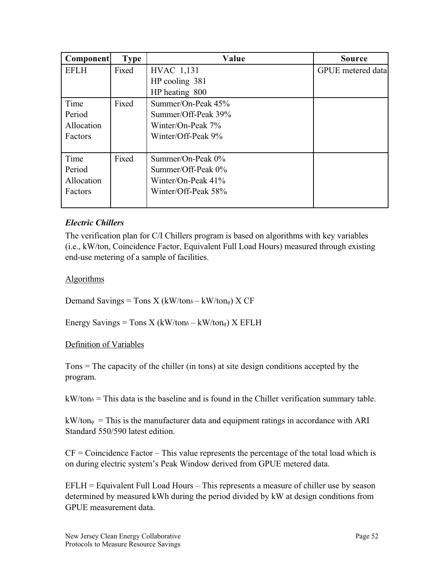| <b>Component</b> | <b>Type</b> | Value                 | <b>Source</b>            |
|------------------|-------------|-----------------------|--------------------------|
| <b>EFLH</b>      | Fixed       | HVAC 1,131            | <b>GPUE</b> metered data |
|                  |             | HP cooling 381        |                          |
|                  |             | HP heating 800        |                          |
| Time             | Fixed       | Summer/On-Peak 45%    |                          |
| Period           |             | Summer/Off-Peak 39%   |                          |
| Allocation       |             | Winter/On-Peak 7%     |                          |
| Factors          |             | Winter/Off-Peak 9%    |                          |
|                  |             |                       |                          |
| Time             | Fixed       | Summer/On-Peak $0\%$  |                          |
| Period           |             | Summer/Off-Peak 0%    |                          |
| Allocation       |             | Winter/On-Peak $41\%$ |                          |
| Factors          |             | Winter/Off-Peak 58%   |                          |
|                  |             |                       |                          |

### *Electric Chillers*

The verification plan for C/I Chillers program is based on algorithms with key variables (i.e., kW/ton, Coincidence Factor, Equivalent Full Load Hours) measured through existing end-use metering of a sample of facilities.

#### **Algorithms**

Demand Savings = Tons X ( $kW/ton_b - kW/ton_q$ ) X CF

Energy Savings = Tons X ( $kW/tonb - kW/tonq$ ) X EFLH

#### Definition of Variables

Tons = The capacity of the chiller (in tons) at site design conditions accepted by the program.

 $kW/ton_b =$ This data is the baseline and is found in the Chiller verification summary table.

 $kW/ton<sub>q</sub>$  = This is the manufacturer data and equipment ratings in accordance with ARI Standard 550/590 latest edition.

 $CF =$ Coincidence Factor – This value represents the percentage of the total load which is on during electric system's Peak Window derived from GPUE metered data.

EFLH = Equivalent Full Load Hours – This represents a measure of chiller use by season determined by measured kWh during the period divided by kW at design conditions from GPUE measurement data.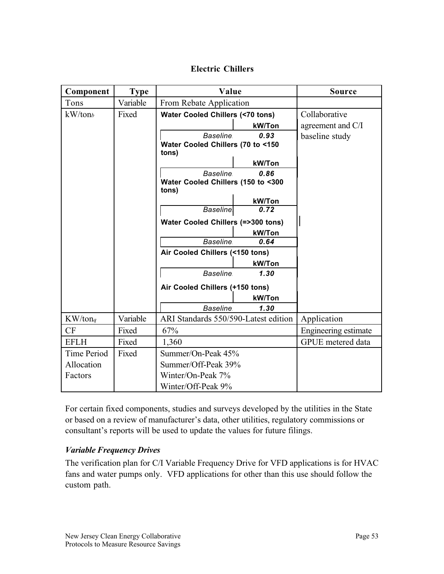### **Electric Chillers**

| Component   | <b>Type</b> | Value                                        | <b>Source</b>        |
|-------------|-------------|----------------------------------------------|----------------------|
| Tons        | Variable    | From Rebate Application                      |                      |
| kW/tonb     | Fixed       | <b>Water Cooled Chillers (&lt;70 tons)</b>   | Collaborative        |
|             |             | kW/Ton                                       | agreement and C/I    |
|             |             | <b>Baseline</b><br>0.93                      | baseline study       |
|             |             | Water Cooled Chillers (70 to <150<br>tons)   |                      |
|             |             | kW/Ton                                       |                      |
|             |             | <b>Baseline</b><br>0.86                      |                      |
|             |             | Water Cooled Chillers (150 to <300           |                      |
|             |             | tons)                                        |                      |
|             |             | kW/Ton                                       |                      |
|             |             | 0.72<br><b>Baseline</b>                      |                      |
|             |             | <b>Water Cooled Chillers (=&gt;300 tons)</b> |                      |
|             |             | kW/Ton                                       |                      |
|             |             | <b>Baseline</b><br>0.64                      |                      |
|             |             | Air Cooled Chillers (<150 tons)              |                      |
|             |             | kW/Ton<br><b>Baseline</b><br>1.30            |                      |
|             |             |                                              |                      |
|             |             | Air Cooled Chillers (+150 tons)              |                      |
|             |             | kW/Ton                                       |                      |
|             |             | <b>Baseline</b><br>1.30                      |                      |
| KW/tonq     | Variable    | ARI Standards 550/590-Latest edition         | Application          |
| CF          | Fixed       | 67%                                          | Engineering estimate |
| <b>EFLH</b> | Fixed       | 1,360                                        | GPUE metered data    |
| Time Period | Fixed       | Summer/On-Peak 45%                           |                      |
| Allocation  |             | Summer/Off-Peak 39%                          |                      |
| Factors     |             | Winter/On-Peak 7%                            |                      |
|             |             | Winter/Off-Peak 9%                           |                      |

For certain fixed components, studies and surveys developed by the utilities in the State or based on a review of manufacturer's data, other utilities, regulatory commissions or consultant's reports will be used to update the values for future filings.

#### *Variable Frequency Drives*

The verification plan for C/I Variable Frequency Drive for VFD applications is for HVAC fans and water pumps only. VFD applications for other than this use should follow the custom path.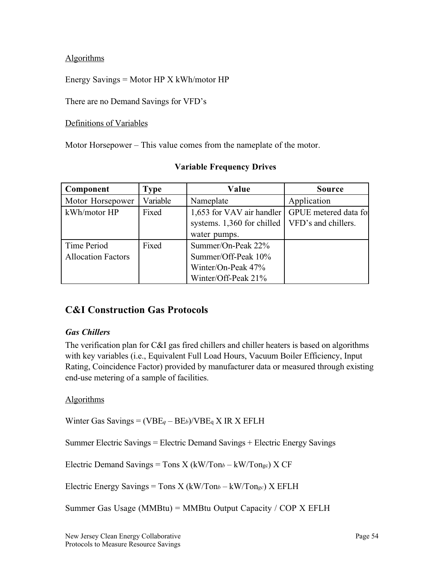### **Algorithms**

### Energy Savings = Motor HP X kWh/motor HP

There are no Demand Savings for VFD's

#### Definitions of Variables

Motor Horsepower – This value comes from the nameplate of the motor.

| Component                                | Type     | Value                                                                                         | <b>Source</b>         |
|------------------------------------------|----------|-----------------------------------------------------------------------------------------------|-----------------------|
| Motor Horsepower                         | Variable | Nameplate                                                                                     | Application           |
| kWh/motor HP                             | Fixed    | 1,653 for VAV air handler<br>systems. 1,360 for chilled   VFD's and chillers.<br>water pumps. | GPUE metered data for |
| Time Period<br><b>Allocation Factors</b> | Fixed    | Summer/On-Peak 22%<br>Summer/Off-Peak 10%<br>Winter/On-Peak 47%<br>Winter/Off-Peak 21%        |                       |

### **Variable Frequency Drives**

# **C&I Construction Gas Protocols**

#### *Gas Chillers*

The verification plan for C&I gas fired chillers and chiller heaters is based on algorithms with key variables (i.e., Equivalent Full Load Hours, Vacuum Boiler Efficiency, Input Rating, Coincidence Factor) provided by manufacturer data or measured through existing end-use metering of a sample of facilities.

#### Algorithms

Winter Gas Savings = (VBE*q* – BE*b*)/VBEq X IR X EFLH

Summer Electric Savings = Electric Demand Savings + Electric Energy Savings

Electric Demand Savings = Tons  $X$  (kW/Ton $b - kW/T$ ongc)  $X$  CF

Electric Energy Savings = Tons X (kW/Ton*b* – kW/Ton*gc*) X EFLH

Summer Gas Usage (MMBtu) = MMBtu Output Capacity / COP  $X$  EFLH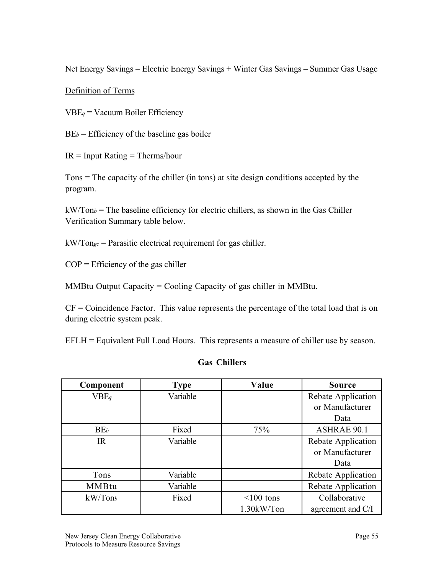Net Energy Savings = Electric Energy Savings + Winter Gas Savings – Summer Gas Usage

#### Definition of Terms

VBE*q* = Vacuum Boiler Efficiency

 $BE<sub>b</sub>$  = Efficiency of the baseline gas boiler

 $IR = Input Rating = Therms/hour$ 

Tons = The capacity of the chiller (in tons) at site design conditions accepted by the program.

kW/Ton*b* = The baseline efficiency for electric chillers, as shown in the Gas Chiller Verification Summary table below.

kW/Ton*gc* = Parasitic electrical requirement for gas chiller.

 $COP =$  Efficiency of the gas chiller

MMBtu Output Capacity = Cooling Capacity of gas chiller in MMBtu.

 $CF =$ Coincidence Factor. This value represents the percentage of the total load that is on during electric system peak.

EFLH = Equivalent Full Load Hours. This represents a measure of chiller use by season.

#### **Gas Chillers**

| Component       | <b>Type</b> | Value        | <b>Source</b>      |
|-----------------|-------------|--------------|--------------------|
| $VBE_q$         | Variable    |              | Rebate Application |
|                 |             |              | or Manufacturer    |
|                 |             |              | Data               |
| BE <sub>b</sub> | Fixed       | 75%          | <b>ASHRAE 90.1</b> |
| IR              | Variable    |              | Rebate Application |
|                 |             |              | or Manufacturer    |
|                 |             |              | Data               |
| Tons            | Variable    |              | Rebate Application |
| MMBtu           | Variable    |              | Rebate Application |
| kW/Tonb         | Fixed       | $<$ 100 tons | Collaborative      |
|                 |             | 1.30kW/Ton   | agreement and C/I  |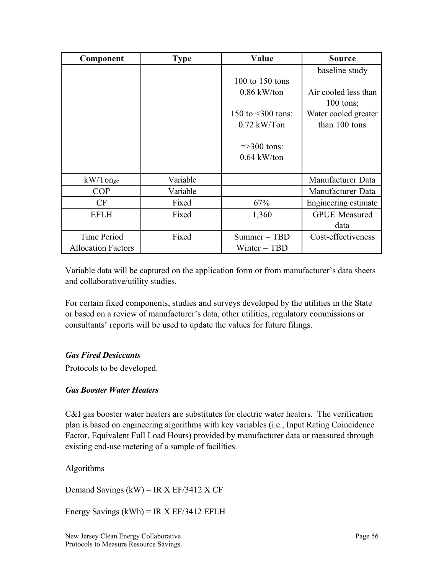| Component                 | <b>Type</b> | Value                   | <b>Source</b>        |
|---------------------------|-------------|-------------------------|----------------------|
|                           |             |                         | baseline study       |
|                           |             | 100 to 150 tons         |                      |
|                           |             | $0.86$ kW/ton           | Air cooled less than |
|                           |             |                         | $100$ tons;          |
|                           |             | 150 to $\leq$ 300 tons: | Water cooled greater |
|                           |             | $0.72$ kW/Ton           | than 100 tons        |
|                           |             |                         |                      |
|                           |             | $\approx$ =>300 tons:   |                      |
|                           |             | $0.64$ kW/ton           |                      |
|                           |             |                         |                      |
| $kW/T$ ongc               | Variable    |                         | Manufacturer Data    |
| <b>COP</b>                | Variable    |                         | Manufacturer Data    |
| CF                        | Fixed       | 67%                     | Engineering estimate |
| <b>EFLH</b>               | Fixed       | 1,360                   | <b>GPUE</b> Measured |
|                           |             |                         | data                 |
| Time Period               | Fixed       | $Summer = TBD$          | Cost-effectiveness   |
| <b>Allocation Factors</b> |             | $Winter = TBD$          |                      |

Variable data will be captured on the application form or from manufacturer's data sheets and collaborative/utility studies.

For certain fixed components, studies and surveys developed by the utilities in the State or based on a review of manufacturer's data, other utilities, regulatory commissions or consultants' reports will be used to update the values for future filings.

#### *Gas Fired Desiccants*

Protocols to be developed.

### *Gas Booster Water Heaters*

C&I gas booster water heaters are substitutes for electric water heaters. The verification plan is based on engineering algorithms with key variables (i.e., Input Rating Coincidence Factor, Equivalent Full Load Hours) provided by manufacturer data or measured through existing end-use metering of a sample of facilities.

### Algorithms

Demand Savings  $(kW) = IR X EF/3412 X CF$ 

Energy Savings (kWh) = IR X EF/3412 EFLH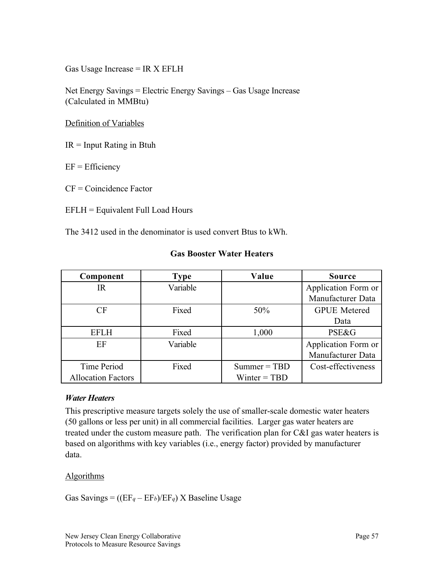Gas Usage Increase  $= IR X EFLH$ 

Net Energy Savings = Electric Energy Savings – Gas Usage Increase (Calculated in MMBtu)

Definition of Variables

 $IR = Input Rating in Btuh$ 

 $EF = Efficiency$ 

CF = Coincidence Factor

EFLH = Equivalent Full Load Hours

The 3412 used in the denominator is used convert Btus to kWh.

| Component                 | <b>Type</b> | Value          | <b>Source</b>       |
|---------------------------|-------------|----------------|---------------------|
| IR                        | Variable    |                | Application Form or |
|                           |             |                | Manufacturer Data   |
| CF                        | Fixed       | 50%            | <b>GPUE</b> Metered |
|                           |             |                | Data                |
| <b>EFLH</b>               | Fixed       | 1,000          | <b>PSE&amp;G</b>    |
| EF                        | Variable    |                | Application Form or |
|                           |             |                | Manufacturer Data   |
| Time Period               | Fixed       | $Summer = TBD$ | Cost-effectiveness  |
| <b>Allocation Factors</b> |             | Winter = $TBD$ |                     |

#### **Gas Booster Water Heaters**

#### *Water Heaters*

This prescriptive measure targets solely the use of smaller-scale domestic water heaters (50 gallons or less per unit) in all commercial facilities. Larger gas water heaters are treated under the custom measure path. The verification plan for C&I gas water heaters is based on algorithms with key variables (i.e., energy factor) provided by manufacturer data.

#### **Algorithms**

Gas Savings =  $((EF_q - EF_b)/EF_q)$  X Baseline Usage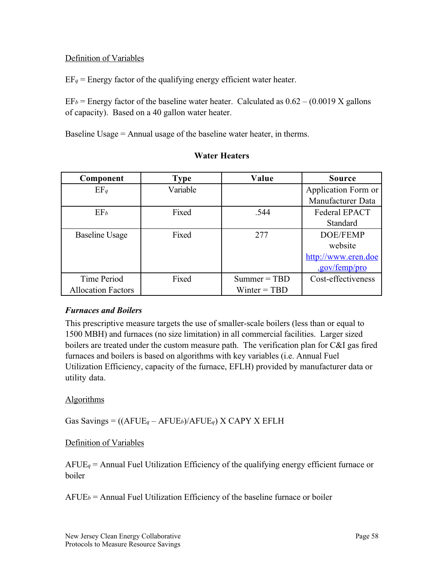### Definition of Variables

 $EF_q$  = Energy factor of the qualifying energy efficient water heater.

 $EF_b$  = Energy factor of the baseline water heater. Calculated as  $0.62 - (0.0019 \text{ X gallons})$ of capacity). Based on a 40 gallon water heater.

Baseline Usage = Annual usage of the baseline water heater, in therms.

| Component                 | <b>Type</b> | Value          | <b>Source</b>       |
|---------------------------|-------------|----------------|---------------------|
| $EF_q$                    | Variable    |                | Application Form or |
|                           |             |                | Manufacturer Data   |
| EF <sub>b</sub>           | Fixed       | .544           | Federal EPACT       |
|                           |             |                | <b>Standard</b>     |
| <b>Baseline Usage</b>     | Fixed       | 277            | DOE/FEMP            |
|                           |             |                | website             |
|                           |             |                | http://www.eren.doe |
|                           |             |                | .gov/femp/pro       |
| Time Period               | Fixed       | $Summer = TBD$ | Cost-effectiveness  |
| <b>Allocation Factors</b> |             | Winter $=$ TBD |                     |

#### **Water Heaters**

#### *Furnaces and Boilers*

This prescriptive measure targets the use of smaller-scale boilers (less than or equal to 1500 MBH) and furnaces (no size limitation) in all commercial facilities. Larger sized boilers are treated under the custom measure path. The verification plan for C&I gas fired furnaces and boilers is based on algorithms with key variables (i.e. Annual Fuel Utilization Efficiency, capacity of the furnace, EFLH) provided by manufacturer data or utility data.

#### Algorithms

Gas Savings = ((AFUE*q* – AFUE*b*)/AFUE*q*) X CAPY X EFLH

#### Definition of Variables

AFUE*q* = Annual Fuel Utilization Efficiency of the qualifying energy efficient furnace or boiler

 $A FUE<sub>b</sub>$  = Annual Fuel Utilization Efficiency of the baseline furnace or boiler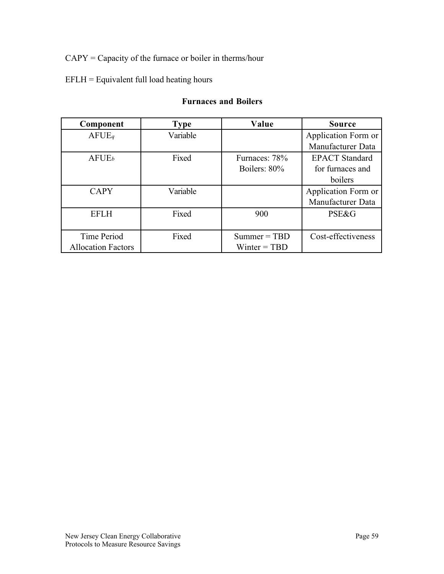## CAPY = Capacity of the furnace or boiler in therms/hour

### EFLH = Equivalent full load heating hours

#### **Furnaces and Boilers**

| Component                 | <b>Type</b> | Value          | <b>Source</b>         |
|---------------------------|-------------|----------------|-----------------------|
| A FUE                     | Variable    |                | Application Form or   |
|                           |             |                | Manufacturer Data     |
| A FUE <sub>b</sub>        | Fixed       | Furnaces: 78%  | <b>EPACT</b> Standard |
|                           |             | Boilers: 80%   | for furnaces and      |
|                           |             |                | boilers               |
| <b>CAPY</b>               | Variable    |                | Application Form or   |
|                           |             |                | Manufacturer Data     |
| <b>EFLH</b>               | Fixed       | 900            | <b>PSE&amp;G</b>      |
|                           |             |                |                       |
| Time Period               | Fixed       | $Summer = TBD$ | Cost-effectiveness    |
| <b>Allocation Factors</b> |             | Winter $=$ TBD |                       |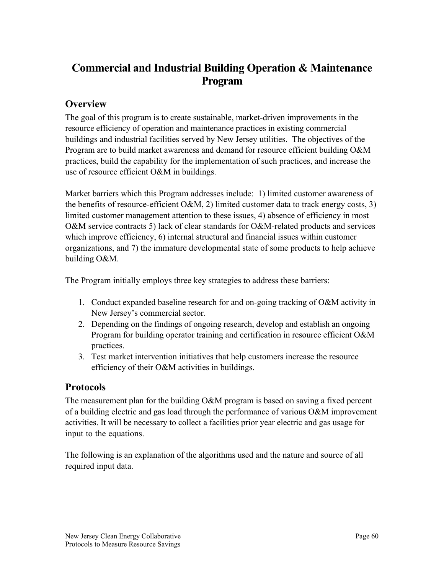# **Commercial and Industrial Building Operation & Maintenance Program**

# **Overview**

The goal of this program is to create sustainable, market-driven improvements in the resource efficiency of operation and maintenance practices in existing commercial buildings and industrial facilities served by New Jersey utilities. The objectives of the Program are to build market awareness and demand for resource efficient building O&M practices, build the capability for the implementation of such practices, and increase the use of resource efficient O&M in buildings.

Market barriers which this Program addresses include: 1) limited customer awareness of the benefits of resource-efficient  $O&M$ , 2) limited customer data to track energy costs, 3) limited customer management attention to these issues, 4) absence of efficiency in most O&M service contracts 5) lack of clear standards for O&M-related products and services which improve efficiency, 6) internal structural and financial issues within customer organizations, and 7) the immature developmental state of some products to help achieve building O&M.

The Program initially employs three key strategies to address these barriers:

- 1. Conduct expanded baseline research for and on-going tracking of O&M activity in New Jersey's commercial sector.
- 2. Depending on the findings of ongoing research, develop and establish an ongoing Program for building operator training and certification in resource efficient O&M practices.
- 3. Test market intervention initiatives that help customers increase the resource efficiency of their O&M activities in buildings.

## **Protocols**

The measurement plan for the building O&M program is based on saving a fixed percent of a building electric and gas load through the performance of various O&M improvement activities. It will be necessary to collect a facilities prior year electric and gas usage for input to the equations.

The following is an explanation of the algorithms used and the nature and source of all required input data.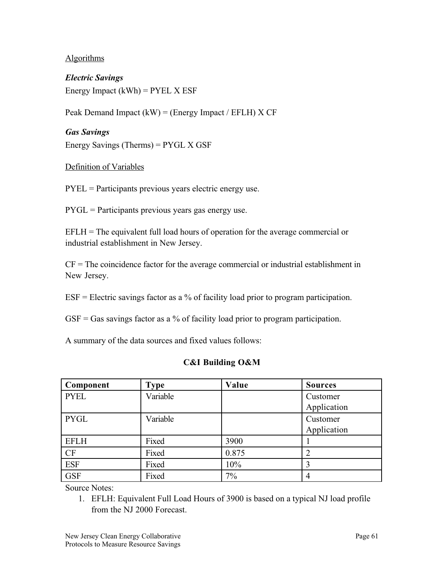#### **Algorithms**

*Electric Savings* Energy Impact  $(kWh) = PYEL \times ESF$ 

Peak Demand Impact  $(kW) = (Energy Impact / EFLH) X CF$ 

# *Gas Savings* Energy Savings (Therms) = PYGL X GSF

#### Definition of Variables

PYEL = Participants previous years electric energy use.

 $PYGL = Participants$  previous years gas energy use.

 $EFLH = The equivalent full load hours of operation for the average commercial or$ industrial establishment in New Jersey.

 $CF = The coincidence factor for the average commercial or industrial establishment in$ New Jersey.

 $ESF = Electric \, savings \, factor \, as \, a \, % \, of \, facility \, load \, prior \, to \, program \, participation.$ 

 $GSF = Gas$  savings factor as a % of facility load prior to program participation.

A summary of the data sources and fixed values follows:

#### **C&I Building O&M**

| Component   | Type     | Value | <b>Sources</b> |
|-------------|----------|-------|----------------|
| <b>PYEL</b> | Variable |       | Customer       |
|             |          |       | Application    |
| <b>PYGL</b> | Variable |       | Customer       |
|             |          |       | Application    |
| <b>EFLH</b> | Fixed    | 3900  |                |
| <b>CF</b>   | Fixed    | 0.875 | 2              |
| <b>ESF</b>  | Fixed    | 10%   | 3              |
| <b>GSF</b>  | Fixed    | $7\%$ | 4              |

Source Notes:

<sup>1.</sup> EFLH: Equivalent Full Load Hours of 3900 is based on a typical NJ load profile from the NJ 2000 Forecast.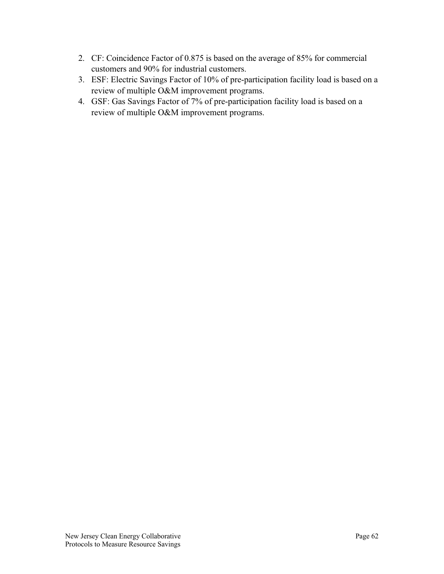- 2. CF: Coincidence Factor of 0.875 is based on the average of 85% for commercial customers and 90% for industrial customers.
- 3. ESF: Electric Savings Factor of 10% of pre-participation facility load is based on a review of multiple O&M improvement programs.
- 4. GSF: Gas Savings Factor of 7% of pre-participation facility load is based on a review of multiple O&M improvement programs.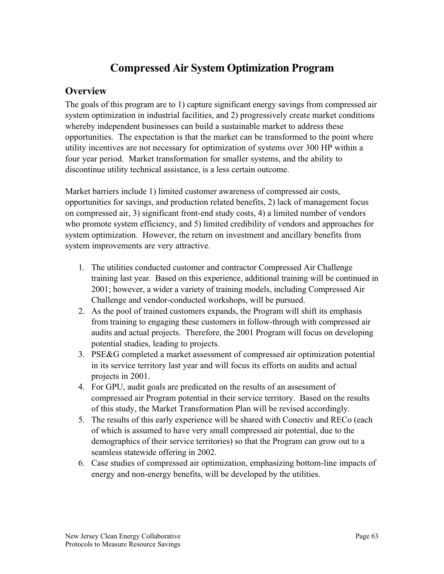# **Compressed Air System Optimization Program**

# **Overview**

The goals of this program are to 1) capture significant energy savings from compressed air system optimization in industrial facilities, and 2) progressively create market conditions whereby independent businesses can build a sustainable market to address these opportunities. The expectation is that the market can be transformed to the point where utility incentives are not necessary for optimization of systems over 300 HP within a four year period. Market transformation for smaller systems, and the ability to discontinue utility technical assistance, is a less certain outcome.

Market barriers include 1) limited customer awareness of compressed air costs, opportunities for savings, and production related benefits, 2) lack of management focus on compressed air, 3) significant front-end study costs, 4) a limited number of vendors who promote system efficiency, and 5) limited credibility of vendors and approaches for system optimization. However, the return on investment and ancillary benefits from system improvements are very attractive.

- 1. The utilities conducted customer and contractor Compressed Air Challenge training last year. Based on this experience, additional training will be continued in 2001; however, a wider a variety of training models, including Compressed Air Challenge and vendor-conducted workshops, will be pursued.
- 2. As the pool of trained customers expands, the Program will shift its emphasis from training to engaging these customers in follow-through with compressed air audits and actual projects. Therefore, the 2001 Program will focus on developing potential studies, leading to projects.
- 3. PSE&G completed a market assessment of compressed air optimization potential in its service territory last year and will focus its efforts on audits and actual projects in 2001.
- 4. For GPU, audit goals are predicated on the results of an assessment of compressed air Program potential in their service territory. Based on the results of this study, the Market Transformation Plan will be revised accordingly.
- 5. The results of this early experience will be shared with Conectiv and RECo (each of which is assumed to have very small compressed air potential, due to the demographics of their service territories) so that the Program can grow out to a seamless statewide offering in 2002.
- 6. Case studies of compressed air optimization, emphasizing bottom-line impacts of energy and non-energy benefits, will be developed by the utilities.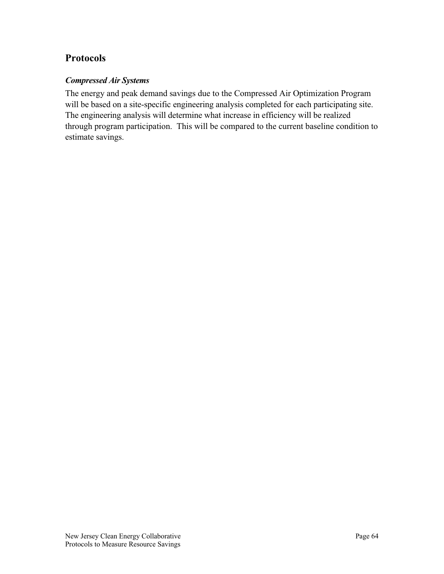# **Protocols**

### *Compressed Air Systems*

The energy and peak demand savings due to the Compressed Air Optimization Program will be based on a site-specific engineering analysis completed for each participating site. The engineering analysis will determine what increase in efficiency will be realized through program participation. This will be compared to the current baseline condition to estimate savings.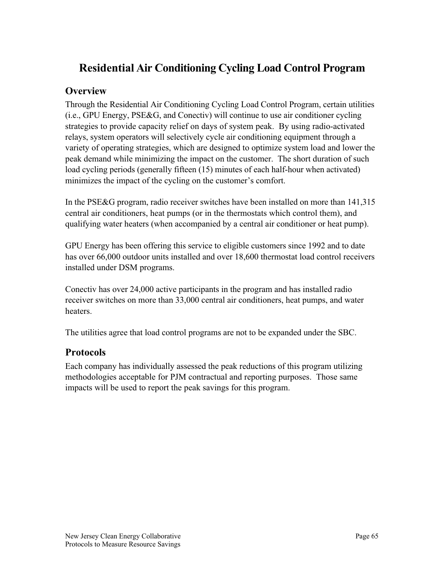# **Residential Air Conditioning Cycling Load Control Program**

## **Overview**

Through the Residential Air Conditioning Cycling Load Control Program, certain utilities (i.e., GPU Energy, PSE&G, and Conectiv) will continue to use air conditioner cycling strategies to provide capacity relief on days of system peak. By using radio-activated relays, system operators will selectively cycle air conditioning equipment through a variety of operating strategies, which are designed to optimize system load and lower the peak demand while minimizing the impact on the customer. The short duration of such load cycling periods (generally fifteen (15) minutes of each half-hour when activated) minimizes the impact of the cycling on the customer's comfort.

In the PSE&G program, radio receiver switches have been installed on more than 141,315 central air conditioners, heat pumps (or in the thermostats which control them), and qualifying water heaters (when accompanied by a central air conditioner or heat pump).

GPU Energy has been offering this service to eligible customers since 1992 and to date has over 66,000 outdoor units installed and over 18,600 thermostat load control receivers installed under DSM programs.

Conectiv has over 24,000 active participants in the program and has installed radio receiver switches on more than 33,000 central air conditioners, heat pumps, and water heaters.

The utilities agree that load control programs are not to be expanded under the SBC.

## **Protocols**

Each company has individually assessed the peak reductions of this program utilizing methodologies acceptable for PJM contractual and reporting purposes. Those same impacts will be used to report the peak savings for this program.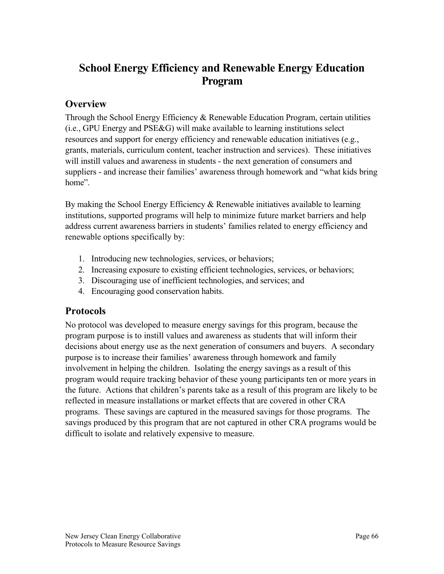# **School Energy Efficiency and Renewable Energy Education Program**

## **Overview**

Through the School Energy Efficiency & Renewable Education Program, certain utilities (i.e., GPU Energy and PSE&G) will make available to learning institutions select resources and support for energy efficiency and renewable education initiatives (e.g., grants, materials, curriculum content, teacher instruction and services). These initiatives will instill values and awareness in students - the next generation of consumers and suppliers - and increase their families' awareness through homework and "what kids bring home".

By making the School Energy Efficiency & Renewable initiatives available to learning institutions, supported programs will help to minimize future market barriers and help address current awareness barriers in students' families related to energy efficiency and renewable options specifically by:

- 1. Introducing new technologies, services, or behaviors;
- 2. Increasing exposure to existing efficient technologies, services, or behaviors;
- 3. Discouraging use of inefficient technologies, and services; and
- 4. Encouraging good conservation habits.

### **Protocols**

No protocol was developed to measure energy savings for this program, because the program purpose is to instill values and awareness as students that will inform their decisions about energy use as the next generation of consumers and buyers. A secondary purpose is to increase their families' awareness through homework and family involvement in helping the children. Isolating the energy savings as a result of this program would require tracking behavior of these young participants ten or more years in the future. Actions that children's parents take as a result of this program are likely to be reflected in measure installations or market effects that are covered in other CRA programs. These savings are captured in the measured savings for those programs. The savings produced by this program that are not captured in other CRA programs would be difficult to isolate and relatively expensive to measure.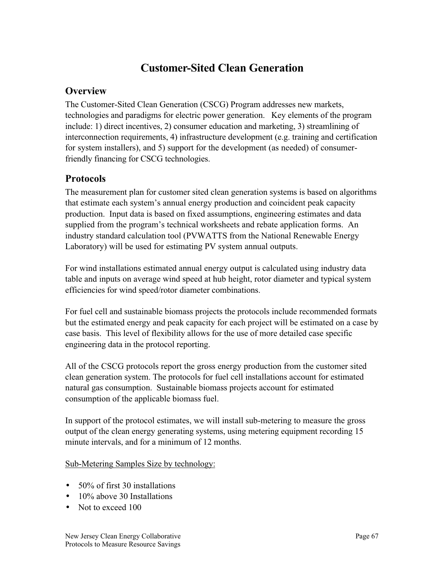# **Customer-Sited Clean Generation**

# **Overview**

The Customer-Sited Clean Generation (CSCG) Program addresses new markets, technologies and paradigms for electric power generation. Key elements of the program include: 1) direct incentives, 2) consumer education and marketing, 3) streamlining of interconnection requirements, 4) infrastructure development (e.g. training and certification for system installers), and 5) support for the development (as needed) of consumerfriendly financing for CSCG technologies.

# **Protocols**

The measurement plan for customer sited clean generation systems is based on algorithms that estimate each system's annual energy production and coincident peak capacity production. Input data is based on fixed assumptions, engineering estimates and data supplied from the program's technical worksheets and rebate application forms. An industry standard calculation tool (PVWATTS from the National Renewable Energy Laboratory) will be used for estimating PV system annual outputs.

For wind installations estimated annual energy output is calculated using industry data table and inputs on average wind speed at hub height, rotor diameter and typical system efficiencies for wind speed/rotor diameter combinations.

For fuel cell and sustainable biomass projects the protocols include recommended formats but the estimated energy and peak capacity for each project will be estimated on a case by case basis. This level of flexibility allows for the use of more detailed case specific engineering data in the protocol reporting.

All of the CSCG protocols report the gross energy production from the customer sited clean generation system. The protocols for fuel cell installations account for estimated natural gas consumption. Sustainable biomass projects account for estimated consumption of the applicable biomass fuel.

In support of the protocol estimates, we will install sub-metering to measure the gross output of the clean energy generating systems, using metering equipment recording 15 minute intervals, and for a minimum of 12 months.

Sub-Metering Samples Size by technology:

- 50% of first 30 installations
- $\bullet$  10% above 30 Installations
- Not to exceed 100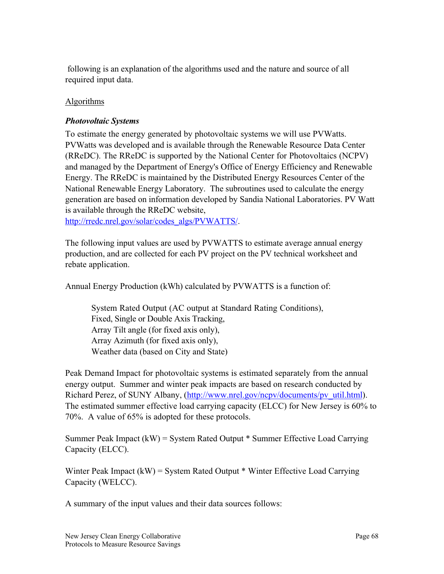following is an explanation of the algorithms used and the nature and source of all required input data.

### Algorithms

#### *Photovoltaic Systems*

To estimate the energy generated by photovoltaic systems we will use PVWatts. PVWatts was developed and is available through the Renewable Resource Data Center (RReDC). The RReDC is supported by the National Center for Photovoltaics (NCPV) and managed by the Department of Energy's Office of Energy Efficiency and Renewable Energy. The RReDC is maintained by the Distributed Energy Resources Center of the National Renewable Energy Laboratory. The subroutines used to calculate the energy generation are based on information developed by Sandia National Laboratories. PV Watt is available through the RReDC website,

http://rredc.nrel.gov/solar/codes\_algs/PVWATTS/.

The following input values are used by PVWATTS to estimate average annual energy production, and are collected for each PV project on the PV technical worksheet and rebate application.

Annual Energy Production (kWh) calculated by PVWATTS is a function of:

System Rated Output (AC output at Standard Rating Conditions), Fixed, Single or Double Axis Tracking, Array Tilt angle (for fixed axis only), Array Azimuth (for fixed axis only), Weather data (based on City and State)

Peak Demand Impact for photovoltaic systems is estimated separately from the annual energy output. Summer and winter peak impacts are based on research conducted by Richard Perez, of SUNY Albany, (http://www.nrel.gov/ncpv/documents/pv\_util.html). The estimated summer effective load carrying capacity (ELCC) for New Jersey is 60% to 70%. A value of 65% is adopted for these protocols.

Summer Peak Impact (kW) = System Rated Output \* Summer Effective Load Carrying Capacity (ELCC).

Winter Peak Impact (kW) = System Rated Output \* Winter Effective Load Carrying Capacity (WELCC).

A summary of the input values and their data sources follows: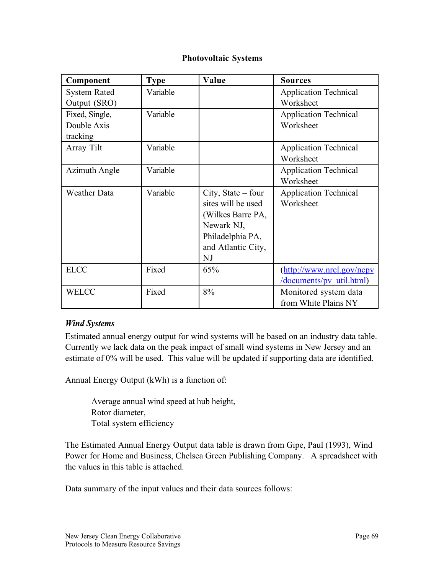#### **Photovoltaic Systems**

| Component            | <b>Type</b> | Value                                                                                                                         | <b>Sources</b>                                               |
|----------------------|-------------|-------------------------------------------------------------------------------------------------------------------------------|--------------------------------------------------------------|
| <b>System Rated</b>  | Variable    |                                                                                                                               | <b>Application Technical</b>                                 |
| Output (SRO)         |             |                                                                                                                               | Worksheet                                                    |
| Fixed, Single,       | Variable    |                                                                                                                               | <b>Application Technical</b>                                 |
| Double Axis          |             |                                                                                                                               | Worksheet                                                    |
| tracking             |             |                                                                                                                               |                                                              |
| Array Tilt           | Variable    |                                                                                                                               | <b>Application Technical</b>                                 |
|                      |             |                                                                                                                               | Worksheet                                                    |
| <b>Azimuth Angle</b> | Variable    |                                                                                                                               | <b>Application Technical</b>                                 |
|                      |             |                                                                                                                               | Worksheet                                                    |
| <b>Weather Data</b>  | Variable    | City, State $-$ four<br>sites will be used<br>(Wilkes Barre PA,<br>Newark NJ,<br>Philadelphia PA,<br>and Atlantic City,<br>NJ | <b>Application Technical</b><br>Worksheet                    |
| <b>ELCC</b>          | Fixed       | 65%                                                                                                                           | (http://www.nrel.gov/ncpv<br><u>/documents/pv util.html)</u> |
| WELCC                | Fixed       | 8%                                                                                                                            | Monitored system data<br>from White Plains NY                |

#### *Wind Systems*

Estimated annual energy output for wind systems will be based on an industry data table. Currently we lack data on the peak impact of small wind systems in New Jersey and an estimate of 0% will be used. This value will be updated if supporting data are identified.

Annual Energy Output (kWh) is a function of:

Average annual wind speed at hub height, Rotor diameter, Total system efficiency

The Estimated Annual Energy Output data table is drawn from Gipe, Paul (1993), Wind Power for Home and Business, Chelsea Green Publishing Company. A spreadsheet with the values in this table is attached.

Data summary of the input values and their data sources follows: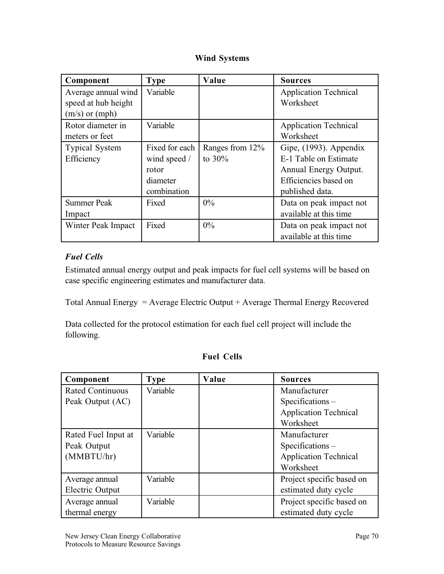## **Wind Systems**

| Component             | <b>Type</b>    | Value           | <b>Sources</b>               |
|-----------------------|----------------|-----------------|------------------------------|
| Average annual wind   | Variable       |                 | <b>Application Technical</b> |
| speed at hub height   |                |                 | Worksheet                    |
| $(m/s)$ or $(mph)$    |                |                 |                              |
| Rotor diameter in     | Variable       |                 | <b>Application Technical</b> |
| meters or feet        |                |                 | Worksheet                    |
| <b>Typical System</b> | Fixed for each | Ranges from 12% | Gipe, (1993). Appendix       |
| Efficiency            | wind speed /   | to $30\%$       | E-1 Table on Estimate        |
|                       | rotor          |                 | Annual Energy Output.        |
|                       | diameter       |                 | Efficiencies based on        |
|                       | combination    |                 | published data.              |
| <b>Summer Peak</b>    | Fixed          | $0\%$           | Data on peak impact not      |
| Impact                |                |                 | available at this time       |
| Winter Peak Impact    | Fixed          | $0\%$           | Data on peak impact not      |
|                       |                |                 | available at this time       |

## *Fuel Cells*

Estimated annual energy output and peak impacts for fuel cell systems will be based on case specific engineering estimates and manufacturer data.

Total Annual Energy = Average Electric Output + Average Thermal Energy Recovered

Data collected for the protocol estimation for each fuel cell project will include the following.

| Component               | <b>Type</b> | Value | <b>Sources</b>               |
|-------------------------|-------------|-------|------------------------------|
| <b>Rated Continuous</b> | Variable    |       | Manufacturer                 |
| Peak Output (AC)        |             |       | $Specifications -$           |
|                         |             |       | <b>Application Technical</b> |
|                         |             |       | Worksheet                    |
| Rated Fuel Input at     | Variable    |       | Manufacturer                 |
| Peak Output             |             |       | $Specifications -$           |
| (MMBTU/hr)              |             |       | <b>Application Technical</b> |
|                         |             |       | Worksheet                    |
| Average annual          | Variable    |       | Project specific based on    |
| Electric Output         |             |       | estimated duty cycle         |
| Average annual          | Variable    |       | Project specific based on    |
| thermal energy          |             |       | estimated duty cycle         |

## **Fuel Cells**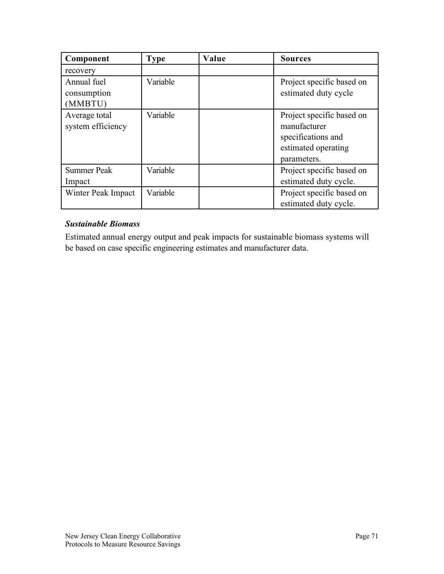| Component                             | <b>Type</b> | Value | <b>Sources</b>                                                                                        |
|---------------------------------------|-------------|-------|-------------------------------------------------------------------------------------------------------|
| recovery                              |             |       |                                                                                                       |
| Annual fuel<br>consumption<br>(MMBTU) | Variable    |       | Project specific based on<br>estimated duty cycle                                                     |
| Average total<br>system efficiency    | Variable    |       | Project specific based on<br>manufacturer<br>specifications and<br>estimated operating<br>parameters. |
| <b>Summer Peak</b><br>Impact          | Variable    |       | Project specific based on<br>estimated duty cycle.                                                    |
| Winter Peak Impact                    | Variable    |       | Project specific based on<br>estimated duty cycle.                                                    |

## *Sustainable Biomass*

Estimated annual energy output and peak impacts for sustainable biomass systems will be based on case specific engineering estimates and manufacturer data.